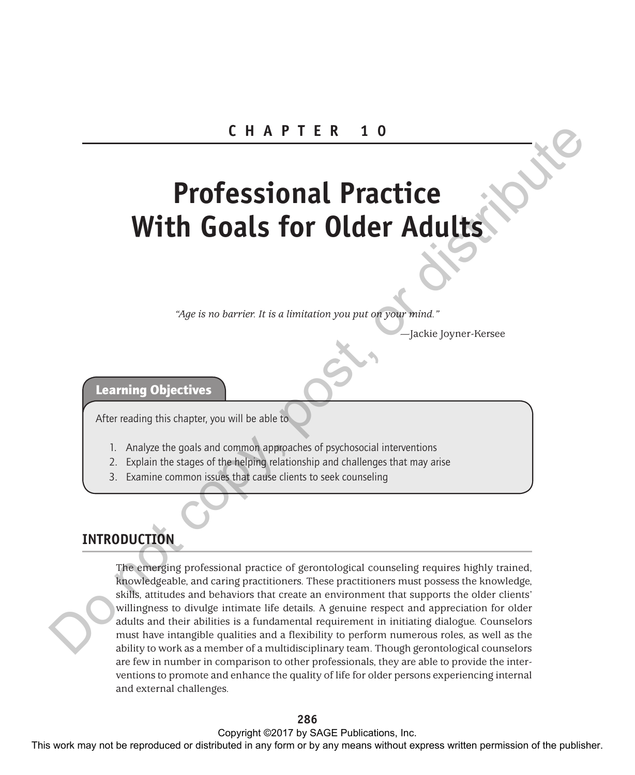# **Professional Practice With Goals for Older Adults**

*"Age is no barrier. It is a limitation you put on your mind."*

—Jackie Joyner-Kersee

# Learning Objectives

After reading this chapter, you will be able to

- 1. Analyze the goals and common approaches of psychosocial interventions
- 2. Explain the stages of the helping relationship and challenges that may arise
- 3. Examine common issues that cause clients to seek counseling

# **INTRODUCTION**

The emerging professional practice of gerontological counseling requires highly trained, knowledgeable, and caring practitioners. These practitioners must possess the knowledge, skills, attitudes and behaviors that create an environment that supports the older clients' willingness to divulge intimate life details. A genuine respect and appreciation for older adults and their abilities is a fundamental requirement in initiating dialogue. Counselors must have intangible qualities and a flexibility to perform numerous roles, as well as the ability to work as a member of a multidisciplinary team. Though gerontological counselors are few in number in comparison to other professionals, they are able to provide the interventions to promote and enhance the quality of life for older persons experiencing internal and external challenges. CHAPTER 10<br> **Professional Practice**<br>
With Goals for Older Adults<br>
With Goals for older Adults<br>
The comparison of the contract to the comparison of the property of the comparison<br>
1. Assigns the grain at comparison of polic

**286**

Copyright ©2017 by SAGE Publications, Inc.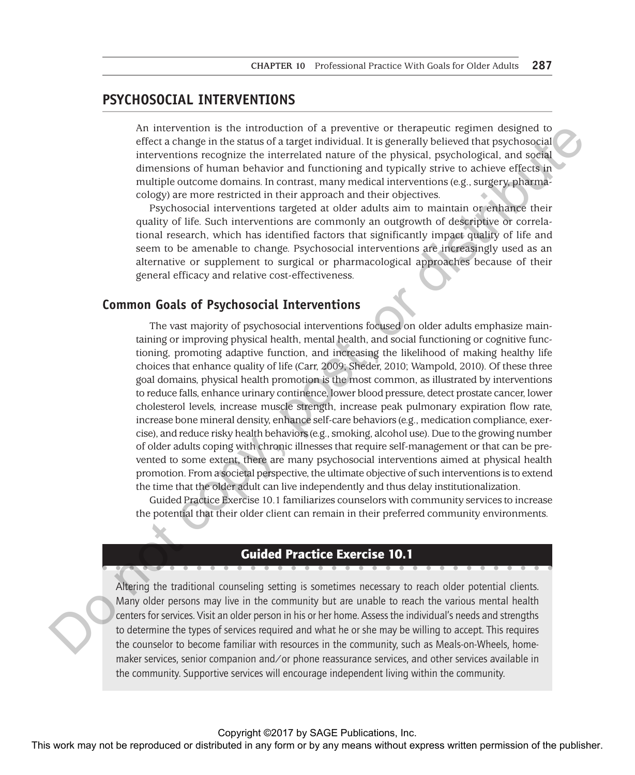# **PSYCHOSOCIAL INTERVENTIONS**

An intervention is the introduction of a preventive or therapeutic regimen designed to effect a change in the status of a target individual. It is generally believed that psychosocial interventions recognize the interrelated nature of the physical, psychological, and social dimensions of human behavior and functioning and typically strive to achieve effects in multiple outcome domains. In contrast, many medical interventions (e.g., surgery, pharmacology) are more restricted in their approach and their objectives.

Psychosocial interventions targeted at older adults aim to maintain or enhance their quality of life. Such interventions are commonly an outgrowth of descriptive or correlational research, which has identified factors that significantly impact quality of life and seem to be amenable to change. Psychosocial interventions are increasingly used as an alternative or supplement to surgical or pharmacological approaches because of their general efficacy and relative cost-effectiveness.

## **Common Goals of Psychosocial Interventions**

The vast majority of psychosocial interventions focused on older adults emphasize maintaining or improving physical health, mental health, and social functioning or cognitive functioning, promoting adaptive function, and increasing the likelihood of making healthy life choices that enhance quality of life (Carr, 2009; Sheder, 2010; Wampold, 2010). Of these three goal domains, physical health promotion is the most common, as illustrated by interventions to reduce falls, enhance urinary continence, lower blood pressure, detect prostate cancer, lower cholesterol levels, increase muscle strength, increase peak pulmonary expiration flow rate, increase bone mineral density, enhance self-care behaviors (e.g., medication compliance, exercise), and reduce risky health behaviors (e.g., smoking, alcohol use). Due to the growing number of older adults coping with chronic illnesses that require self-management or that can be prevented to some extent, there are many psychosocial interventions aimed at physical health promotion. From a societal perspective, the ultimate objective of such interventions is to extend the time that the older adult can live independently and thus delay institutionalization. An intervention is the introduction of a preventive or therapeutic regiment dissigned to the membersion of the inter-kecked couries of the intervention of the inter-kecked and intervention of the intervention of the inter

Guided Practice Exercise 10.1 familiarizes counselors with community services to increase the potential that their older client can remain in their preferred community environments.

# Guided Practice Exercise 10.1

Altering the traditional counseling setting is sometimes necessary to reach older potential clients. Many older persons may live in the community but are unable to reach the various mental health centers for services. Visit an older person in his or her home. Assess the individual's needs and strengths to determine the types of services required and what he or she may be willing to accept. This requires the counselor to become familiar with resources in the community, such as Meals-on-Wheels, homemaker services, senior companion and/or phone reassurance services, and other services available in the community. Supportive services will encourage independent living within the community.

Copyright ©2017 by SAGE Publications, Inc.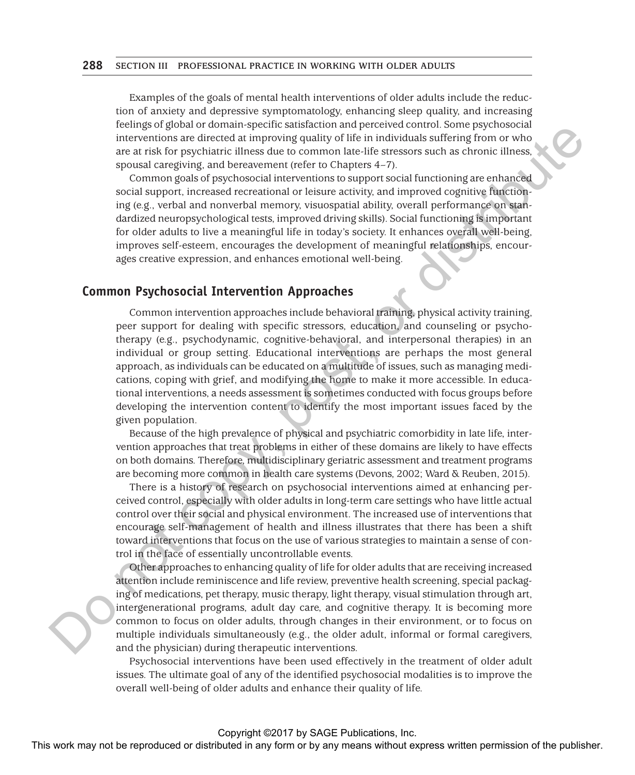Examples of the goals of mental health interventions of older adults include the reduction of anxiety and depressive symptomatology, enhancing sleep quality, and increasing feelings of global or domain-specific satisfaction and perceived control. Some psychosocial interventions are directed at improving quality of life in individuals suffering from or who are at risk for psychiatric illness due to common late-life stressors such as chronic illness, spousal caregiving, and bereavement (refer to Chapters 4–7).

Common goals of psychosocial interventions to support social functioning are enhanced social support, increased recreational or leisure activity, and improved cognitive functioning (e.g., verbal and nonverbal memory, visuospatial ability, overall performance on standardized neuropsychological tests, improved driving skills). Social functioning is important for older adults to live a meaningful life in today's society. It enhances overall well-being, improves self-esteem, encourages the development of meaningful relationships, encourages creative expression, and enhances emotional well-being.

## **Common Psychosocial Intervention Approaches**

Common intervention approaches include behavioral training, physical activity training, peer support for dealing with specific stressors, education, and counseling or psychotherapy (e.g., psychodynamic, cognitive-behavioral, and interpersonal therapies) in an individual or group setting. Educational interventions are perhaps the most general approach, as individuals can be educated on a multitude of issues, such as managing medications, coping with grief, and modifying the home to make it more accessible. In educational interventions, a needs assessment is sometimes conducted with focus groups before developing the intervention content to identify the most important issues faced by the given population. icensing whole methods of the methods and the methods and the methods and the methods of the methods of the methods of the methods and the methods of the methods of the methods of the methods of the methods of the methods

Because of the high prevalence of physical and psychiatric comorbidity in late life, intervention approaches that treat problems in either of these domains are likely to have effects on both domains. Therefore, multidisciplinary geriatric assessment and treatment programs are becoming more common in health care systems (Devons, 2002; Ward & Reuben, 2015).

There is a history of research on psychosocial interventions aimed at enhancing perceived control, especially with older adults in long-term care settings who have little actual control over their social and physical environment. The increased use of interventions that encourage self-management of health and illness illustrates that there has been a shift toward interventions that focus on the use of various strategies to maintain a sense of control in the face of essentially uncontrollable events.

Other approaches to enhancing quality of life for older adults that are receiving increased attention include reminiscence and life review, preventive health screening, special packaging of medications, pet therapy, music therapy, light therapy, visual stimulation through art, intergenerational programs, adult day care, and cognitive therapy. It is becoming more common to focus on older adults, through changes in their environment, or to focus on multiple individuals simultaneously (e.g., the older adult, informal or formal caregivers, and the physician) during therapeutic interventions.

Psychosocial interventions have been used effectively in the treatment of older adult issues. The ultimate goal of any of the identified psychosocial modalities is to improve the overall well-being of older adults and enhance their quality of life.

#### Copyright ©2017 by SAGE Publications, Inc.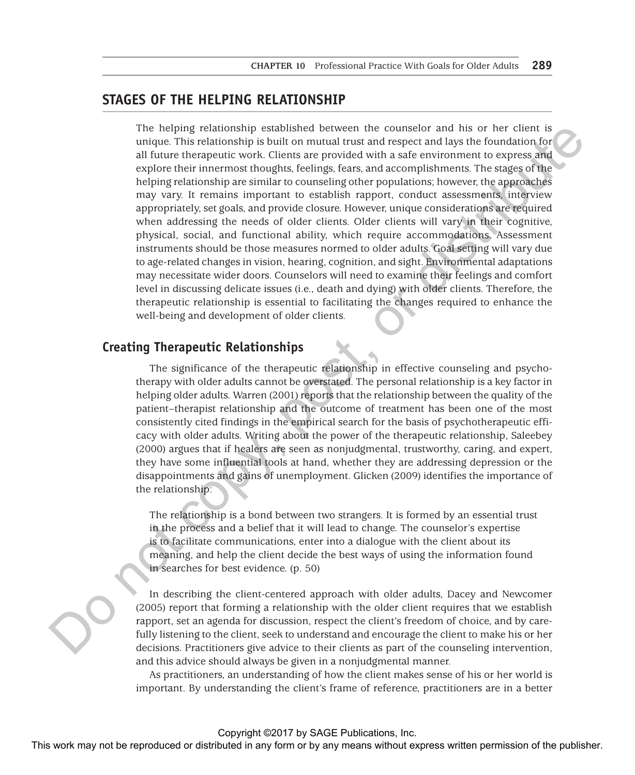## **STAGES OF THE HELPING RELATIONSHIP**

The helping relationship established between the counselor and his or her client is unique. This relationship is built on mutual trust and respect and lays the foundation for all future therapeutic work. Clients are provided with a safe environment to express and explore their innermost thoughts, feelings, fears, and accomplishments. The stages of the helping relationship are similar to counseling other populations; however, the approaches may vary. It remains important to establish rapport, conduct assessments, interview appropriately, set goals, and provide closure. However, unique considerations are required when addressing the needs of older clients. Older clients will vary in their cognitive, physical, social, and functional ability, which require accommodations. Assessment instruments should be those measures normed to older adults. Goal setting will vary due to age-related changes in vision, hearing, cognition, and sight. Environmental adaptations may necessitate wider doors. Counselors will need to examine their feelings and comfort level in discussing delicate issues (i.e., death and dying) with older clients. Therefore, the therapeutic relationship is essential to facilitating the changes required to enhance the well-being and development of older clients. The helping relationships established between the connector and his or between the stripute of the mean the proposition of a stress of the mean the mean the mean the mean the mean the mean to the control of the mean to th

## **Creating Therapeutic Relationships**

The significance of the therapeutic relationship in effective counseling and psychotherapy with older adults cannot be overstated. The personal relationship is a key factor in helping older adults. Warren (2001) reports that the relationship between the quality of the patient–therapist relationship and the outcome of treatment has been one of the most consistently cited findings in the empirical search for the basis of psychotherapeutic efficacy with older adults. Writing about the power of the therapeutic relationship, Saleebey (2000) argues that if healers are seen as nonjudgmental, trustworthy, caring, and expert, they have some influential tools at hand, whether they are addressing depression or the disappointments and gains of unemployment. Glicken (2009) identifies the importance of the relationship:

The relationship is a bond between two strangers. It is formed by an essential trust in the process and a belief that it will lead to change. The counselor's expertise is to facilitate communications, enter into a dialogue with the client about its meaning, and help the client decide the best ways of using the information found in searches for best evidence. (p. 50)

In describing the client-centered approach with older adults, Dacey and Newcomer (2005) report that forming a relationship with the older client requires that we establish rapport, set an agenda for discussion, respect the client's freedom of choice, and by carefully listening to the client, seek to understand and encourage the client to make his or her decisions. Practitioners give advice to their clients as part of the counseling intervention, and this advice should always be given in a nonjudgmental manner.

As practitioners, an understanding of how the client makes sense of his or her world is important. By understanding the client's frame of reference, practitioners are in a better

#### Copyright ©2017 by SAGE Publications, Inc.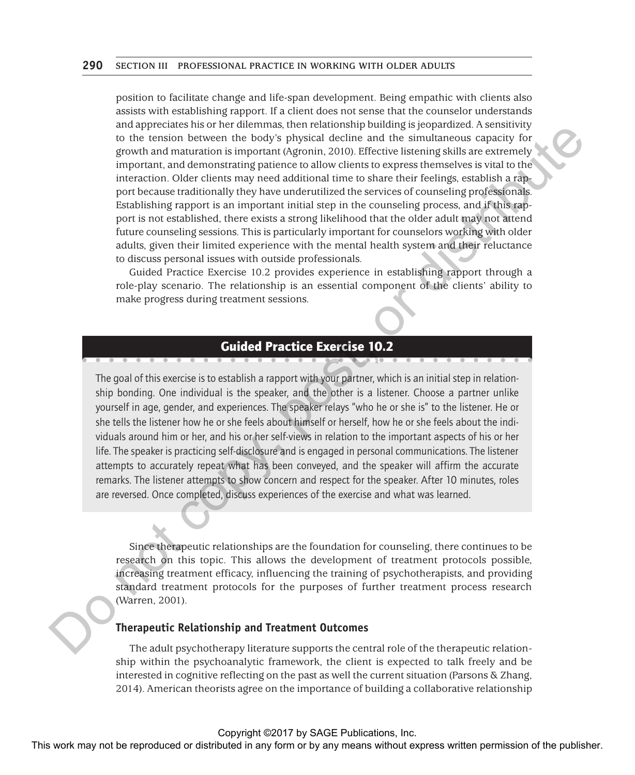#### **290 Section III Professional Practice in Working With Older Adults**

position to facilitate change and life-span development. Being empathic with clients also assists with establishing rapport. If a client does not sense that the counselor understands and appreciates his or her dilemmas, then relationship building is jeopardized. A sensitivity to the tension between the body's physical decline and the simultaneous capacity for growth and maturation is important (Agronin, 2010). Effective listening skills are extremely important, and demonstrating patience to allow clients to express themselves is vital to the interaction. Older clients may need additional time to share their feelings, establish a rapport because traditionally they have underutilized the services of counseling professionals. Establishing rapport is an important initial step in the counseling process, and if this rapport is not established, there exists a strong likelihood that the older adult may not attend future counseling sessions. This is particularly important for counselors working with older adults, given their limited experience with the mental health system and their reluctance to discuss personal issues with outside professionals. and the thermatical state of the methodology booth and the control of the methodology of the control of the methodology of the methodology of the methodology of the methodology of the methodology of the methodology of the

Guided Practice Exercise 10.2 provides experience in establishing rapport through a role-play scenario. The relationship is an essential component of the clients' ability to make progress during treatment sessions.

# Guided Practice Exercise 10.2

The goal of this exercise is to establish a rapport with your partner, which is an initial step in relationship bonding. One individual is the speaker, and the other is a listener. Choose a partner unlike yourself in age, gender, and experiences. The speaker relays "who he or she is" to the listener. He or she tells the listener how he or she feels about himself or herself, how he or she feels about the individuals around him or her, and his or her self-views in relation to the important aspects of his or her life. The speaker is practicing self-disclosure and is engaged in personal communications. The listener attempts to accurately repeat what has been conveyed, and the speaker will affirm the accurate remarks. The listener attempts to show concern and respect for the speaker. After 10 minutes, roles are reversed. Once completed, discuss experiences of the exercise and what was learned.

Since therapeutic relationships are the foundation for counseling, there continues to be research on this topic. This allows the development of treatment protocols possible, increasing treatment efficacy, influencing the training of psychotherapists, and providing standard treatment protocols for the purposes of further treatment process research (Warren, 2001).

#### **Therapeutic Relationship and Treatment Outcomes**

The adult psychotherapy literature supports the central role of the therapeutic relationship within the psychoanalytic framework, the client is expected to talk freely and be interested in cognitive reflecting on the past as well the current situation (Parsons  $\&$  Zhang, 2014). American theorists agree on the importance of building a collaborative relationship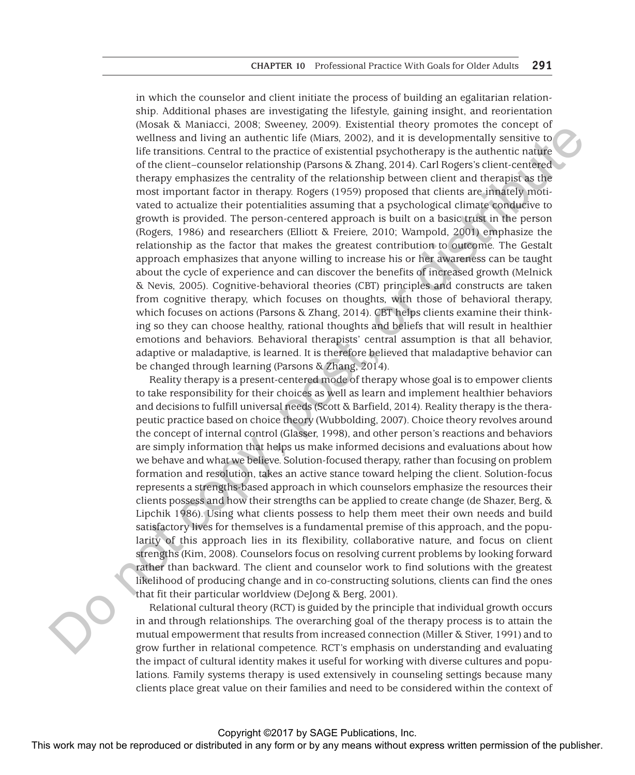in which the counselor and client initiate the process of building an egalitarian relationship. Additional phases are investigating the lifestyle, gaining insight, and reorientation (Mosak & Maniacci, 2008; Sweeney, 2009). Existential theory promotes the concept of wellness and living an authentic life (Miars, 2002), and it is developmentally sensitive to life transitions. Central to the practice of existential psychotherapy is the authentic nature of the client–counselor relationship (Parsons & Zhang, 2014). Carl Rogers's client-centered therapy emphasizes the centrality of the relationship between client and therapist as the most important factor in therapy. Rogers (1959) proposed that clients are innately motivated to actualize their potentialities assuming that a psychological climate conducive to growth is provided. The person-centered approach is built on a basic trust in the person (Rogers, 1986) and researchers (Elliott & Freiere, 2010; Wampold, 2001) emphasize the relationship as the factor that makes the greatest contribution to outcome. The Gestalt approach emphasizes that anyone willing to increase his or her awareness can be taught about the cycle of experience and can discover the benefits of increased growth (Melnick & Nevis, 2005). Cognitive-behavioral theories (CBT) principles and constructs are taken from cognitive therapy, which focuses on thoughts, with those of behavioral therapy, which focuses on actions (Parsons & Zhang, 2014). CBT helps clients examine their thinking so they can choose healthy, rational thoughts and beliefs that will result in healthier emotions and behaviors. Behavioral therapists' central assumption is that all behavior, adaptive or maladaptive, is learned. It is therefore believed that maladaptive behavior can be changed through learning (Parsons & Zhang, 2014). boxes is stantated at the method interest and the method interest and the method interest and the method interest and the method interest and the method interest and the method interest and the method interest and the meth

Reality therapy is a present-centered mode of therapy whose goal is to empower clients to take responsibility for their choices as well as learn and implement healthier behaviors and decisions to fulfill universal needs (Scott  $\&$  Barfield, 2014). Reality therapy is the therapeutic practice based on choice theory (Wubbolding, 2007). Choice theory revolves around the concept of internal control (Glasser, 1998), and other person's reactions and behaviors are simply information that helps us make informed decisions and evaluations about how we behave and what we believe. Solution-focused therapy, rather than focusing on problem formation and resolution, takes an active stance toward helping the client. Solution-focus represents a strengths-based approach in which counselors emphasize the resources their clients possess and how their strengths can be applied to create change (de Shazer, Berg, & Lipchik 1986). Using what clients possess to help them meet their own needs and build satisfactory lives for themselves is a fundamental premise of this approach, and the popularity of this approach lies in its flexibility, collaborative nature, and focus on client strengths (Kim, 2008). Counselors focus on resolving current problems by looking forward rather than backward. The client and counselor work to find solutions with the greatest likelihood of producing change and in co-constructing solutions, clients can find the ones that fit their particular worldview (DeJong & Berg, 2001).

Relational cultural theory (RCT) is guided by the principle that individual growth occurs in and through relationships. The overarching goal of the therapy process is to attain the mutual empowerment that results from increased connection (Miller & Stiver, 1991) and to grow further in relational competence. RCT's emphasis on understanding and evaluating the impact of cultural identity makes it useful for working with diverse cultures and populations. Family systems therapy is used extensively in counseling settings because many clients place great value on their families and need to be considered within the context of

#### Copyright ©2017 by SAGE Publications, Inc.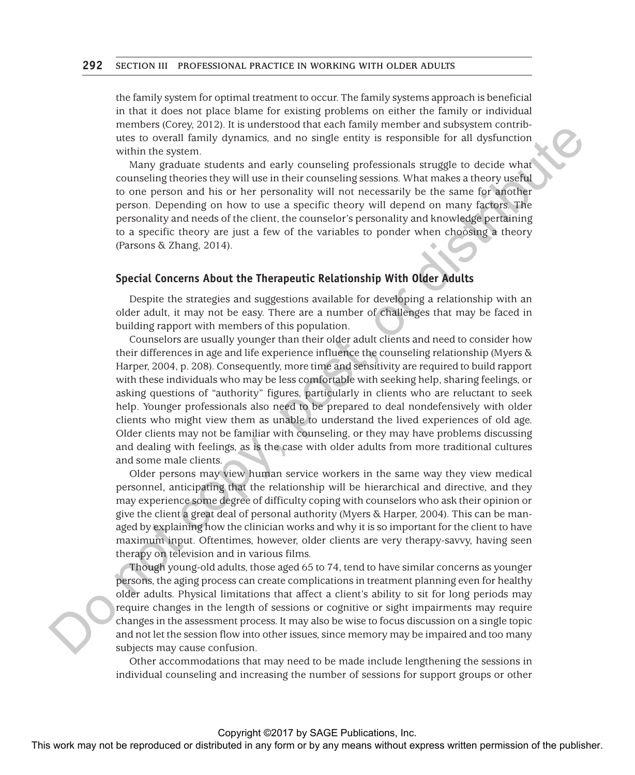#### **292 Section III Professional Practice in Working With Older Adults**

the family system for optimal treatment to occur. The family systems approach is beneficial in that it does not place blame for existing problems on either the family or individual members (Corey, 2012). It is understood that each family member and subsystem contributes to overall family dynamics, and no single entity is responsible for all dysfunction within the system.

Many graduate students and early counseling professionals struggle to decide what counseling theories they will use in their counseling sessions. What makes a theory useful to one person and his or her personality will not necessarily be the same for another person. Depending on how to use a specific theory will depend on many factors. The personality and needs of the client, the counselor's personality and knowledge pertaining to a specific theory are just a few of the variables to ponder when choosing a theory (Parsons & Zhang, 2014).

#### **Special Concerns About the Therapeutic Relationship With Older Adults**

Despite the strategies and suggestions available for developing a relationship with an older adult, it may not be easy. There are a number of challenges that may be faced in building rapport with members of this population.

Counselors are usually younger than their older adult clients and need to consider how their differences in age and life experience influence the counseling relationship (Myers  $\&$ Harper, 2004, p. 208). Consequently, more time and sensitivity are required to build rapport with these individuals who may be less comfortable with seeking help, sharing feelings, or asking questions of "authority" figures, particularly in clients who are reluctant to seek help. Younger professionals also need to be prepared to deal nondefensively with older clients who might view them as unable to understand the lived experiences of old age. Older clients may not be familiar with counseling, or they may have problems discussing and dealing with feelings, as is the case with older adults from more traditional cultures and some male clients. Internet control of the motival and material and the state and the state and the state of the state and the state and the state and the state and the state and the state and the state and the state of the presentation whan

Older persons may view human service workers in the same way they view medical personnel, anticipating that the relationship will be hierarchical and directive, and they may experience some degree of difficulty coping with counselors who ask their opinion or give the client a great deal of personal authority (Myers & Harper, 2004). This can be managed by explaining how the clinician works and why it is so important for the client to have maximum input. Oftentimes, however, older clients are very therapy-savvy, having seen therapy on television and in various films.

Though young-old adults, those aged 65 to 74, tend to have similar concerns as younger persons, the aging process can create complications in treatment planning even for healthy older adults. Physical limitations that affect a client's ability to sit for long periods may require changes in the length of sessions or cognitive or sight impairments may require changes in the assessment process. It may also be wise to focus discussion on a single topic and not let the session flow into other issues, since memory may be impaired and too many subjects may cause confusion.

Other accommodations that may need to be made include lengthening the sessions in individual counseling and increasing the number of sessions for support groups or other

#### Copyright ©2017 by SAGE Publications, Inc.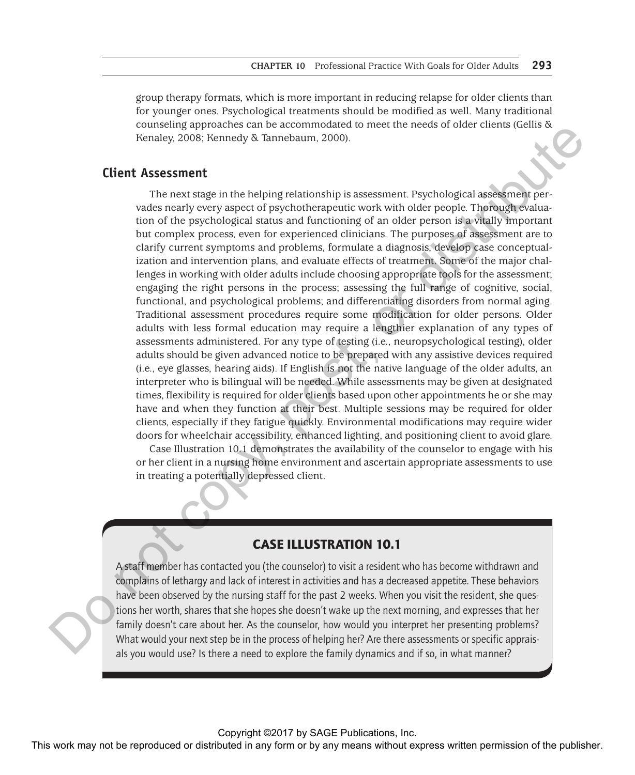group therapy formats, which is more important in reducing relapse for older clients than for younger ones. Psychological treatments should be modified as well. Many traditional counseling approaches can be accommodated to meet the needs of older clients (Gellis  $\&$ Kenaley, 2008; Kennedy & Tannebaum, 2000).

## **Client Assessment**

The next stage in the helping relationship is assessment. Psychological assessment pervades nearly every aspect of psychotherapeutic work with older people. Thorough evaluation of the psychological status and functioning of an older person is a vitally important but complex process, even for experienced clinicians. The purposes of assessment are to clarify current symptoms and problems, formulate a diagnosis, develop case conceptualization and intervention plans, and evaluate effects of treatment. Some of the major challenges in working with older adults include choosing appropriate tools for the assessment; engaging the right persons in the process; assessing the full range of cognitive, social, functional, and psychological problems; and differentiating disorders from normal aging. Traditional assessment procedures require some modification for older persons. Older adults with less formal education may require a lengthier explanation of any types of assessments administered. For any type of testing (i.e., neuropsychological testing), older adults should be given advanced notice to be prepared with any assistive devices required (i.e., eye glasses, hearing aids). If English is not the native language of the older adults, an interpreter who is bilingual will be needed. While assessments may be given at designated times, flexibility is required for older clients based upon other appointments he or she may have and when they function at their best. Multiple sessions may be required for older clients, especially if they fatigue quickly. Environmental modifications may require wider doors for wheelchair accessibility, enhanced lighting, and positioning client to avoid glare. What we can compute the process of the process or the process or the process of the process of the process or the process or the process or the process of the process or the process. The process or the process or the proc

Case Illustration 10.1 demonstrates the availability of the counselor to engage with his or her client in a nursing home environment and ascertain appropriate assessments to use in treating a potentially depressed client.

# CASE ILLUSTRATION 10.1

A staff member has contacted you (the counselor) to visit a resident who has become withdrawn and complains of lethargy and lack of interest in activities and has a decreased appetite. These behaviors have been observed by the nursing staff for the past 2 weeks. When you visit the resident, she questions her worth, shares that she hopes she doesn't wake up the next morning, and expresses that her family doesn't care about her. As the counselor, how would you interpret her presenting problems? als you would use? Is there a need to explore the family dynamics and if so, in what manner?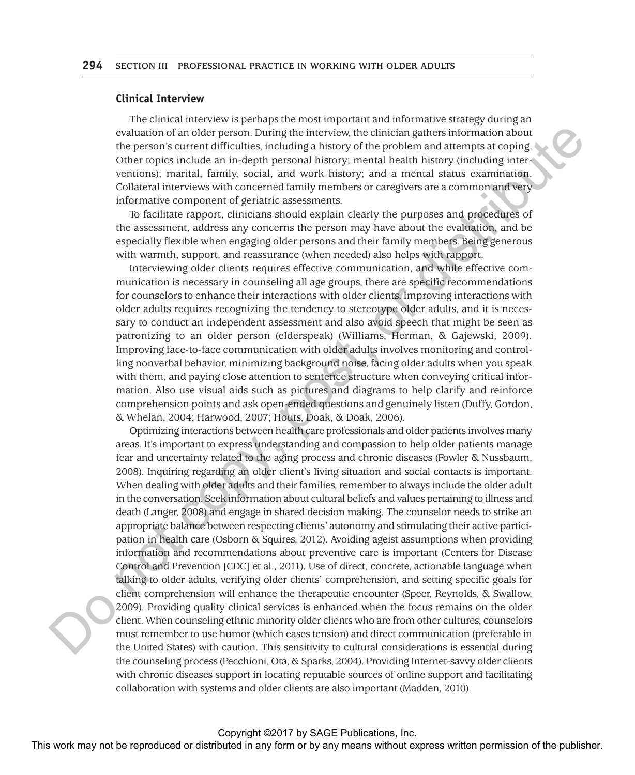## **Clinical Interview**

The clinical interview is perhaps the most important and informative strategy during an evaluation of an older person. During the interview, the clinician gathers information about the person's current difficulties, including a history of the problem and attempts at coping. Other topics include an in-depth personal history; mental health history (including interventions); marital, family, social, and work history; and a mental status examination. Collateral interviews with concerned family members or caregivers are a common and very informative component of geriatric assessments.

To facilitate rapport, clinicians should explain clearly the purposes and procedures of the assessment, address any concerns the person may have about the evaluation, and be especially flexible when engaging older persons and their family members. Being generous with warmth, support, and reassurance (when needed) also helps with rapport.

Interviewing older clients requires effective communication, and while effective communication is necessary in counseling all age groups, there are specific recommendations for counselors to enhance their interactions with older clients. Improving interactions with older adults requires recognizing the tendency to stereotype older adults, and it is necessary to conduct an independent assessment and also avoid speech that might be seen as patronizing to an older person (elderspeak) (Williams, Herman, & Gajewski, 2009). Improving face-to-face communication with older adults involves monitoring and controlling nonverbal behavior, minimizing background noise, facing older adults when you speak with them, and paying close attention to sentence structure when conveying critical information. Also use visual aids such as pictures and diagrams to help clarify and reinforce comprehension points and ask open-ended questions and genuinely listen (Duffy, Gordon, & Whelan, 2004; Harwood, 2007; Houts, Doak, & Doak, 2006).

Optimizing interactions between health care professionals and older patients involves many areas. It's important to express understanding and compassion to help older patients manage fear and uncertainty related to the aging process and chronic diseases (Fowler & Nussbaum, 2008). Inquiring regarding an older client's living situation and social contacts is important. When dealing with older adults and their families, remember to always include the older adult in the conversation. Seek information about cultural beliefs and values pertaining to illness and death (Langer, 2008) and engage in shared decision making. The counselor needs to strike an appropriate balance between respecting clients' autonomy and stimulating their active participation in health care (Osborn & Squires, 2012). Avoiding ageist assumptions when providing information and recommendations about preventive care is important (Centers for Disease Control and Prevention [CDC] et al., 2011). Use of direct, concrete, actionable language when talking to older adults, verifying older clients' comprehension, and setting specific goals for client comprehension will enhance the therapeutic encounter (Speer, Reynolds, & Swallow, 2009). Providing quality clinical services is enhanced when the focus remains on the older client. When counseling ethnic minority older clients who are from other cultures, counselors must remember to use humor (which eases tension) and direct communication (preferable in the United States) with caution. This sensitivity to cultural considerations is essential during the counseling process (Pecchioni, Ota, & Sparks, 2004). Providing Internet-savvy older clients with chronic diseases support in locating reputable sources of online support and facilitating collaboration with systems and older clients are also important (Madden, 2010). evaluation of an older respective Data Constraine in the matterior than the matterior of the problem and attempts at opining<br>Other oppins and other hand the matter and attempts at population of the<br>problem and attempts at

#### Copyright ©2017 by SAGE Publications, Inc.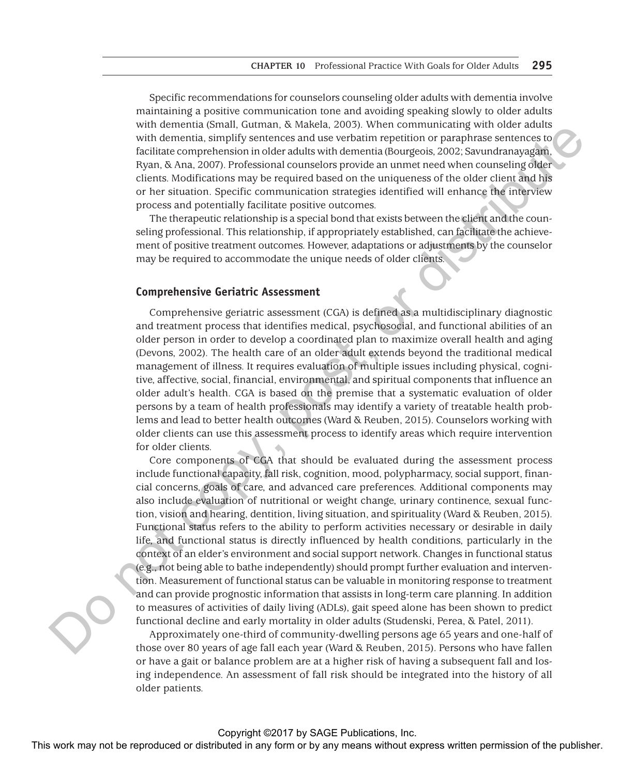Specific recommendations for counselors counseling older adults with dementia involve maintaining a positive communication tone and avoiding speaking slowly to older adults with dementia (Small, Gutman, & Makela, 2003). When communicating with older adults with dementia, simplify sentences and use verbatim repetition or paraphrase sentences to facilitate comprehension in older adults with dementia (Bourgeois, 2002; Savundranayagam, Ryan, & Ana, 2007). Professional counselors provide an unmet need when counseling older clients. Modifications may be required based on the uniqueness of the older client and his or her situation. Specific communication strategies identified will enhance the interview process and potentially facilitate positive outcomes.

The therapeutic relationship is a special bond that exists between the client and the counseling professional. This relationship, if appropriately established, can facilitate the achievement of positive treatment outcomes. However, adaptations or adjustments by the counselor may be required to accommodate the unique needs of older clients.

#### **Comprehensive Geriatric Assessment**

Comprehensive geriatric assessment (CGA) is defined as a multidisciplinary diagnostic and treatment process that identifies medical, psychosocial, and functional abilities of an older person in order to develop a coordinated plan to maximize overall health and aging (Devons, 2002). The health care of an older adult extends beyond the traditional medical management of illness. It requires evaluation of multiple issues including physical, cognitive, affective, social, financial, environmental, and spiritual components that influence an older adult's health. CGA is based on the premise that a systematic evaluation of older persons by a team of health professionals may identify a variety of treatable health problems and lead to better health outcomes (Ward  $\&$  Reuben, 2015). Counselors working with older clients can use this assessment process to identify areas which require intervention for older clients.

Core components of CGA that should be evaluated during the assessment process include functional capacity, fall risk, cognition, mood, polypharmacy, social support, financial concerns, goals of care, and advanced care preferences. Additional components may also include evaluation of nutritional or weight change, urinary continence, sexual function, vision and hearing, dentition, living situation, and spirituality (Ward & Reuben, 2015). Functional status refers to the ability to perform activities necessary or desirable in daily life, and functional status is directly influenced by health conditions, particularly in the context of an elder's environment and social support network. Changes in functional status (e.g., not being able to bathe independently) should prompt further evaluation and intervention. Measurement of functional status can be valuable in monitoring response to treatment and can provide prognostic information that assists in long-term care planning. In addition to measures of activities of daily living (ADLs), gait speed alone has been shown to predict functional decline and early mortality in older adults (Studenski, Perea, & Patel, 2011). wave constrained solution. The hand about the matter of the matter of the matter and the matter of the matter of the matter of the matter of the matter of the matter of the matter of the matter of the matter of the matter

Approximately one-third of community-dwelling persons age 65 years and one-half of those over 80 years of age fall each year (Ward & Reuben, 2015). Persons who have fallen or have a gait or balance problem are at a higher risk of having a subsequent fall and losing independence. An assessment of fall risk should be integrated into the history of all older patients.

#### Copyright ©2017 by SAGE Publications, Inc.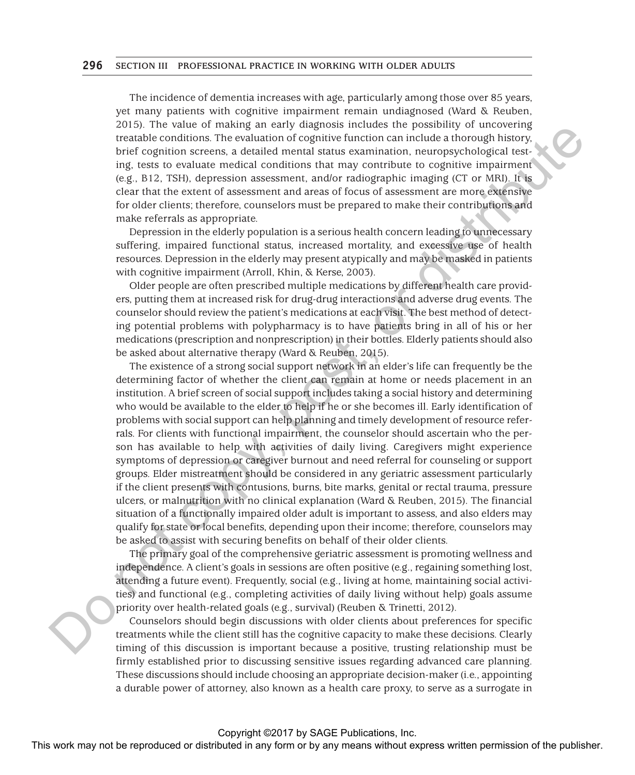The incidence of dementia increases with age, particularly among those over 85 years, yet many patients with cognitive impairment remain undiagnosed (Ward & Reuben, 2015). The value of making an early diagnosis includes the possibility of uncovering treatable conditions. The evaluation of cognitive function can include a thorough history, brief cognition screens, a detailed mental status examination, neuropsychological testing, tests to evaluate medical conditions that may contribute to cognitive impairment (e.g., B12, TSH), depression assessment, and/or radiographic imaging (CT or MRI). It is clear that the extent of assessment and areas of focus of assessment are more extensive for older clients; therefore, counselors must be prepared to make their contributions and make referrals as appropriate.

Depression in the elderly population is a serious health concern leading to unnecessary suffering, impaired functional status, increased mortality, and excessive use of health resources. Depression in the elderly may present atypically and may be masked in patients with cognitive impairment (Arroll, Khin, & Kerse, 2003).

Older people are often prescribed multiple medications by different health care providers, putting them at increased risk for drug-drug interactions and adverse drug events. The counselor should review the patient's medications at each visit. The best method of detecting potential problems with polypharmacy is to have patients bring in all of his or her medications (prescription and nonprescription) in their bottles. Elderly patients should also be asked about alternative therapy (Ward & Reuben, 2015).

The existence of a strong social support network in an elder's life can frequently be the determining factor of whether the client can remain at home or needs placement in an institution. A brief screen of social support includes taking a social history and determining who would be available to the elder to help if he or she becomes ill. Early identification of problems with social support can help planning and timely development of resource referrals. For clients with functional impairment, the counselor should ascertain who the person has available to help with activities of daily living. Caregivers might experience symptoms of depression or caregiver burnout and need referral for counseling or support groups. Elder mistreatment should be considered in any geriatric assessment particularly if the client presents with contusions, burns, bite marks, genital or rectal trauma, pressure ulcers, or malnutrition with no clinical explanation (Ward & Reuben, 2015). The financial situation of a functionally impaired older adult is important to assess, and also elders may qualify for state or local benefits, depending upon their income; therefore, counselors may be asked to assist with securing benefits on behalf of their older clients. 2003: The value of using at easily agains into the constant of postession of the reaction of the reaction of the reaction of the reaction of the reaction of the reaction of the reaction of the reaction of the reaction of

The primary goal of the comprehensive geriatric assessment is promoting wellness and independence. A client's goals in sessions are often positive (e.g., regaining something lost, attending a future event). Frequently, social (e.g., living at home, maintaining social activities) and functional (e.g., completing activities of daily living without help) goals assume priority over health-related goals (e.g., survival) (Reuben & Trinetti, 2012).

Counselors should begin discussions with older clients about preferences for specific treatments while the client still has the cognitive capacity to make these decisions. Clearly timing of this discussion is important because a positive, trusting relationship must be firmly established prior to discussing sensitive issues regarding advanced care planning. These discussions should include choosing an appropriate decision-maker (i.e., appointing a durable power of attorney, also known as a health care proxy, to serve as a surrogate in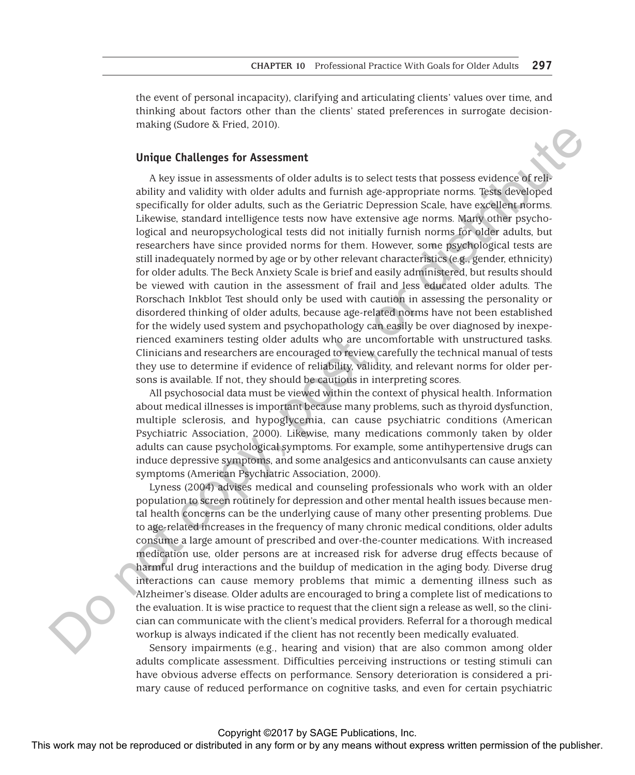the event of personal incapacity), clarifying and articulating clients' values over time, and thinking about factors other than the clients' stated preferences in surrogate decisionmaking (Sudore & Fried, 2010).

#### **Unique Challenges for Assessment**

A key issue in assessments of older adults is to select tests that possess evidence of reliability and validity with older adults and furnish age-appropriate norms. Tests developed specifically for older adults, such as the Geriatric Depression Scale, have excellent norms. Likewise, standard intelligence tests now have extensive age norms. Many other psychological and neuropsychological tests did not initially furnish norms for older adults, but researchers have since provided norms for them. However, some psychological tests are still inadequately normed by age or by other relevant characteristics (e.g., gender, ethnicity) for older adults. The Beck Anxiety Scale is brief and easily administered, but results should be viewed with caution in the assessment of frail and less educated older adults. The Rorschach Inkblot Test should only be used with caution in assessing the personality or disordered thinking of older adults, because age-related norms have not been established for the widely used system and psychopathology can easily be over diagnosed by inexperienced examiners testing older adults who are uncomfortable with unstructured tasks. Clinicians and researchers are encouraged to review carefully the technical manual of tests they use to determine if evidence of reliability, validity, and relevant norms for older persons is available. If not, they should be cautious in interpreting scores. Under Chiefres for consistent of the statistic statistic observations with a statistic statistic and the statistic statistic statistic statistic statistic statistic statistic statistic statistic specifically by order and

All psychosocial data must be viewed within the context of physical health. Information about medical illnesses is important because many problems, such as thyroid dysfunction, multiple sclerosis, and hypoglycemia, can cause psychiatric conditions (American Psychiatric Association, 2000). Likewise, many medications commonly taken by older adults can cause psychological symptoms. For example, some antihypertensive drugs can induce depressive symptoms, and some analgesics and anticonvulsants can cause anxiety symptoms (American Psychiatric Association, 2000).

Lyness (2004) advises medical and counseling professionals who work with an older population to screen routinely for depression and other mental health issues because mental health concerns can be the underlying cause of many other presenting problems. Due to age-related increases in the frequency of many chronic medical conditions, older adults consume a large amount of prescribed and over-the-counter medications. With increased medication use, older persons are at increased risk for adverse drug effects because of harmful drug interactions and the buildup of medication in the aging body. Diverse drug interactions can cause memory problems that mimic a dementing illness such as Alzheimer's disease. Older adults are encouraged to bring a complete list of medications to the evaluation. It is wise practice to request that the client sign a release as well, so the clinician can communicate with the client's medical providers. Referral for a thorough medical workup is always indicated if the client has not recently been medically evaluated.

Sensory impairments (e.g., hearing and vision) that are also common among older adults complicate assessment. Difficulties perceiving instructions or testing stimuli can have obvious adverse effects on performance. Sensory deterioration is considered a primary cause of reduced performance on cognitive tasks, and even for certain psychiatric

#### Copyright ©2017 by SAGE Publications, Inc.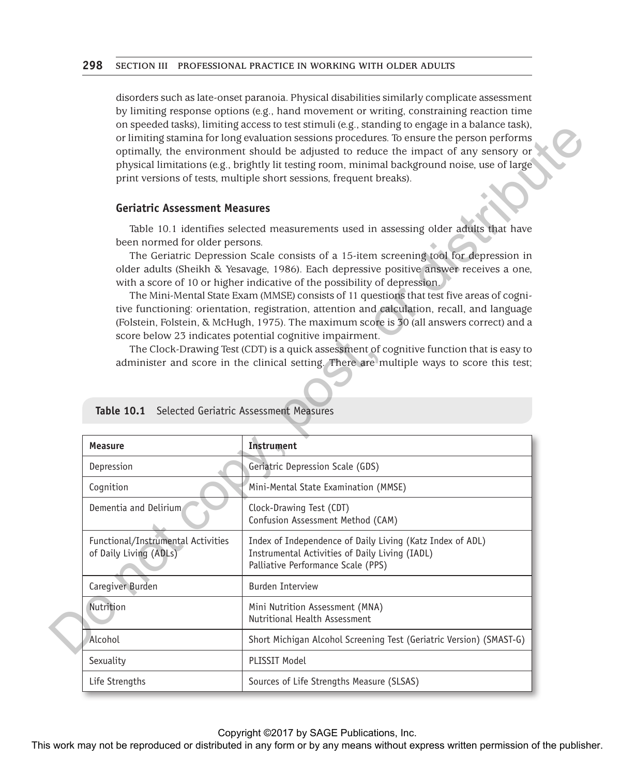disorders such as late-onset paranoia. Physical disabilities similarly complicate assessment by limiting response options (e.g., hand movement or writing, constraining reaction time on speeded tasks), limiting access to test stimuli (e.g., standing to engage in a balance task), or limiting stamina for long evaluation sessions procedures. To ensure the person performs optimally, the environment should be adjusted to reduce the impact of any sensory or physical limitations (e.g., brightly lit testing room, minimal background noise, use of large print versions of tests, multiple short sessions, frequent breaks).

#### **Geriatric Assessment Measures**

|                                                              | or limiting stamina for long evaluation sessions procedures. To ensure the person performs<br>optimally, the environment should be adjusted to reduce the impact of any sensory or<br>physical limitations (e.g., brightly lit testing room, minimal background noise, use of large<br>print versions of tests, multiple short sessions, frequent breaks).                                                                                                                                                                                                                                                                                                                                                                                                                                                                                                                                           |
|--------------------------------------------------------------|------------------------------------------------------------------------------------------------------------------------------------------------------------------------------------------------------------------------------------------------------------------------------------------------------------------------------------------------------------------------------------------------------------------------------------------------------------------------------------------------------------------------------------------------------------------------------------------------------------------------------------------------------------------------------------------------------------------------------------------------------------------------------------------------------------------------------------------------------------------------------------------------------|
| <b>Geriatric Assessment Measures</b>                         |                                                                                                                                                                                                                                                                                                                                                                                                                                                                                                                                                                                                                                                                                                                                                                                                                                                                                                      |
| been normed for older persons.                               | Table 10.1 identifies selected measurements used in assessing older adults that have<br>The Geriatric Depression Scale consists of a 15-item screening tool for depression in<br>older adults (Sheikh & Yesavage, 1986). Each depressive positive answer receives a one,<br>with a score of 10 or higher indicative of the possibility of depression.<br>The Mini-Mental State Exam (MMSE) consists of 11 questions that test five areas of cogni-<br>tive functioning: orientation, registration, attention and calculation, recall, and language<br>(Folstein, Folstein, & McHugh, 1975). The maximum score is 30 (all answers correct) and a<br>score below 23 indicates potential cognitive impairment.<br>The Clock-Drawing Test (CDT) is a quick assessment of cognitive function that is easy to<br>administer and score in the clinical setting. There are multiple ways to score this test; |
| Table 10.1 Selected Geriatric Assessment Measures            |                                                                                                                                                                                                                                                                                                                                                                                                                                                                                                                                                                                                                                                                                                                                                                                                                                                                                                      |
| <b>Measure</b>                                               | <b>Instrument</b>                                                                                                                                                                                                                                                                                                                                                                                                                                                                                                                                                                                                                                                                                                                                                                                                                                                                                    |
| Depression                                                   | Geriatric Depression Scale (GDS)                                                                                                                                                                                                                                                                                                                                                                                                                                                                                                                                                                                                                                                                                                                                                                                                                                                                     |
| Cognition                                                    | Mini-Mental State Examination (MMSE)                                                                                                                                                                                                                                                                                                                                                                                                                                                                                                                                                                                                                                                                                                                                                                                                                                                                 |
| Dementia and Delirium                                        | Clock-Drawing Test (CDT)<br>Confusion Assessment Method (CAM)                                                                                                                                                                                                                                                                                                                                                                                                                                                                                                                                                                                                                                                                                                                                                                                                                                        |
| Functional/Instrumental Activities<br>of Daily Living (ADLs) | Index of Independence of Daily Living (Katz Index of ADL)<br>Instrumental Activities of Daily Living (IADL)<br>Palliative Performance Scale (PPS)                                                                                                                                                                                                                                                                                                                                                                                                                                                                                                                                                                                                                                                                                                                                                    |
| Caregiver Burden                                             | <b>Burden Interview</b>                                                                                                                                                                                                                                                                                                                                                                                                                                                                                                                                                                                                                                                                                                                                                                                                                                                                              |
| Nutrition                                                    | Mini Nutrition Assessment (MNA)<br>Nutritional Health Assessment                                                                                                                                                                                                                                                                                                                                                                                                                                                                                                                                                                                                                                                                                                                                                                                                                                     |
| Alcohol                                                      | Short Michigan Alcohol Screening Test (Geriatric Version) (SMAST-G)                                                                                                                                                                                                                                                                                                                                                                                                                                                                                                                                                                                                                                                                                                                                                                                                                                  |
| Sexuality                                                    | PLISSIT Model                                                                                                                                                                                                                                                                                                                                                                                                                                                                                                                                                                                                                                                                                                                                                                                                                                                                                        |
| Life Strengths                                               | Sources of Life Strengths Measure (SLSAS)                                                                                                                                                                                                                                                                                                                                                                                                                                                                                                                                                                                                                                                                                                                                                                                                                                                            |

#### **Table 10.1** Selected Geriatric Assessment Measures

Copyright ©2017 by SAGE Publications, Inc.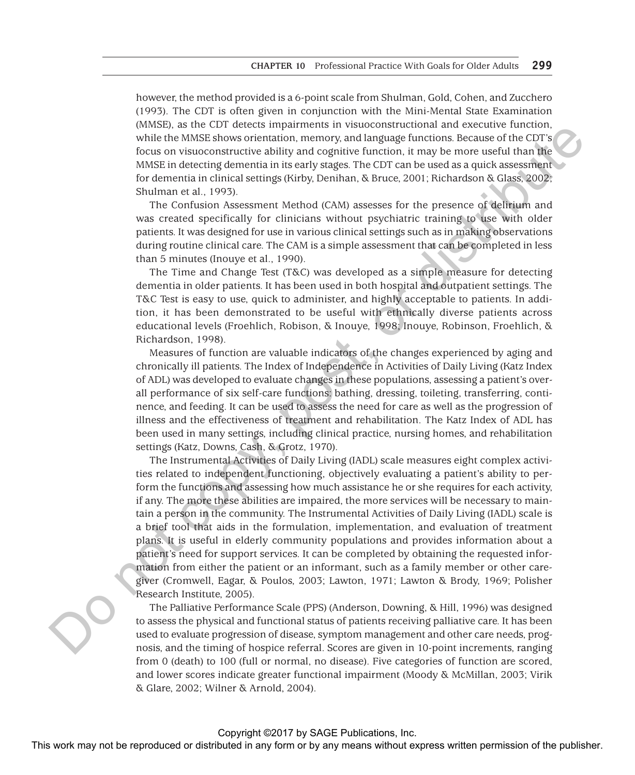however, the method provided is a 6-point scale from Shulman, Gold, Cohen, and Zucchero (1993). The CDT is often given in conjunction with the Mini-Mental State Examination (MMSE), as the CDT detects impairments in visuoconstructional and executive function, while the MMSE shows orientation, memory, and language functions. Because of the CDT's focus on visuoconstructive ability and cognitive function, it may be more useful than the MMSE in detecting dementia in its early stages. The CDT can be used as a quick assessment for dementia in clinical settings (Kirby, Denihan, & Bruce, 2001; Richardson & Glass, 2002; Shulman et al., 1993).

The Confusion Assessment Method (CAM) assesses for the presence of delirium and was created specifically for clinicians without psychiatric training to use with older patients. It was designed for use in various clinical settings such as in making observations during routine clinical care. The CAM is a simple assessment that can be completed in less than 5 minutes (Inouye et al., 1990).

The Time and Change Test (T&C) was developed as a simple measure for detecting dementia in older patients. It has been used in both hospital and outpatient settings. The T&C Test is easy to use, quick to administer, and highly acceptable to patients. In addition, it has been demonstrated to be useful with ethnically diverse patients across educational levels (Froehlich, Robison, & Inouye, 1998; Inouye, Robinson, Froehlich, & Richardson, 1998).

Measures of function are valuable indicators of the changes experienced by aging and chronically ill patients. The Index of Independence in Activities of Daily Living (Katz Index of ADL) was developed to evaluate changes in these populations, assessing a patient's overall performance of six self-care functions: bathing, dressing, toileting, transferring, continence, and feeding. It can be used to assess the need for care as well as the progression of illness and the effectiveness of treatment and rehabilitation. The Katz Index of ADL has been used in many settings, including clinical practice, nursing homes, and rehabilitation settings (Katz, Downs, Cash, & Grotz, 1970).

The Instrumental Activities of Daily Living (IADL) scale measures eight complex activities related to independent functioning, objectively evaluating a patient's ability to perform the functions and assessing how much assistance he or she requires for each activity, if any. The more these abilities are impaired, the more services will be necessary to maintain a person in the community. The Instrumental Activities of Daily Living (IADL) scale is a brief tool that aids in the formulation, implementation, and evaluation of treatment plans. It is useful in elderly community populations and provides information about a patient's need for support services. It can be completed by obtaining the requested information from either the patient or an informant, such as a family member or other caregiver (Cromwell, Eagar, & Poulos, 2003; Lawton, 1971; Lawton & Brody, 1969; Polisher Research Institute, 2005). onces, as net vtry or each complete that the consideration in the consideration of the consideration of the consideration in the consideration of the consideration of the consideration of the consideration of the considera

The Palliative Performance Scale (PPS) (Anderson, Downing, & Hill, 1996) was designed to assess the physical and functional status of patients receiving palliative care. It has been used to evaluate progression of disease, symptom management and other care needs, prognosis, and the timing of hospice referral. Scores are given in 10-point increments, ranging from 0 (death) to 100 (full or normal, no disease). Five categories of function are scored, and lower scores indicate greater functional impairment (Moody & McMillan, 2003; Virik & Glare, 2002; Wilner & Arnold, 2004).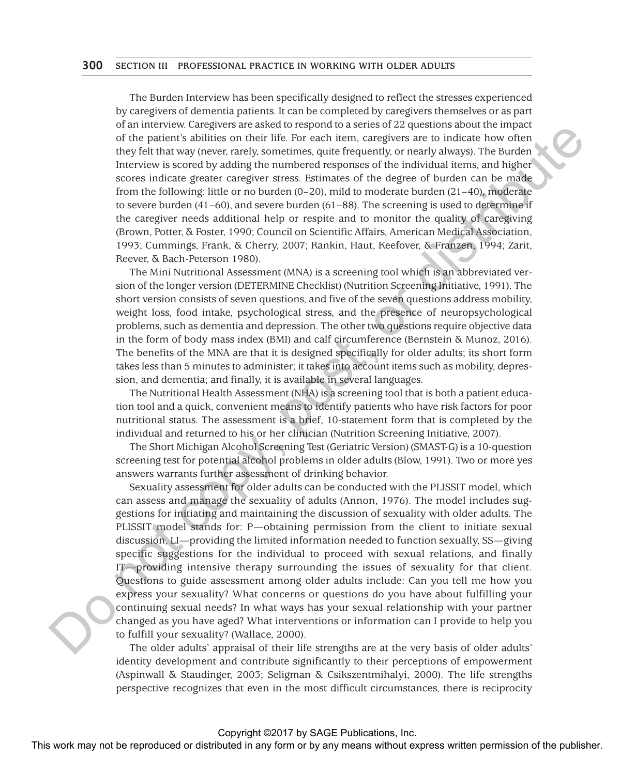The Burden Interview has been specifically designed to reflect the stresses experienced by caregivers of dementia patients. It can be completed by caregivers themselves or as part of an interview. Caregivers are asked to respond to a series of 22 questions about the impact of the patient's abilities on their life. For each item, caregivers are to indicate how often they felt that way (never, rarely, sometimes, quite frequently, or nearly always). The Burden Interview is scored by adding the numbered responses of the individual items, and higher scores indicate greater caregiver stress. Estimates of the degree of burden can be made from the following: little or no burden (0–20), mild to moderate burden (21–40), moderate to severe burden (41–60), and severe burden (61–88). The screening is used to determine if the caregiver needs additional help or respite and to monitor the quality of caregiving (Brown, Potter, & Foster, 1990; Council on Scientific Affairs, American Medical Association, 1993; Cummings, Frank, & Cherry, 2007; Rankin, Haut, Keefover, & Franzen, 1994; Zarit, Reever, & Bach-Peterson 1980).

The Mini Nutritional Assessment (MNA) is a screening tool which is an abbreviated version of the longer version (DETERMINE Checklist) (Nutrition Screening Initiative, 1991). The short version consists of seven questions, and five of the seven questions address mobility, weight loss, food intake, psychological stress, and the presence of neuropsychological problems, such as dementia and depression. The other two questions require objective data in the form of body mass index (BMI) and calf circumference (Bernstein & Munoz, 2016). The benefits of the MNA are that it is designed specifically for older adults; its short form takes less than 5 minutes to administer; it takes into account items such as mobility, depression, and dementia; and finally, it is available in several languages.

The Nutritional Health Assessment (NHA) is a screening tool that is both a patient education tool and a quick, convenient means to identify patients who have risk factors for poor nutritional status. The assessment is a brief, 10-statement form that is completed by the individual and returned to his or her clinician (Nutrition Screening Initiative, 2007).

The Short Michigan Alcohol Screening Test (Geriatric Version) (SMAST-G) is a 10-question screening test for potential alcohol problems in older adults (Blow, 1991). Two or more yes answers warrants further assessment of drinking behavior.

Sexuality assessment for older adults can be conducted with the PLISSIT model, which can assess and manage the sexuality of adults (Annon, 1976). The model includes suggestions for initiating and maintaining the discussion of sexuality with older adults. The PLISSIT model stands for: P—obtaining permission from the client to initiate sexual discussion, LI—providing the limited information needed to function sexually, SS—giving specific suggestions for the individual to proceed with sexual relations, and finally IT—providing intensive therapy surrounding the issues of sexuality for that client. Questions to guide assessment among older adults include: Can you tell me how you express your sexuality? What concerns or questions do you have about fulfilling your continuing sexual needs? In what ways has your sexual relationship with your partner changed as you have aged? What interventions or information can I provide to help you to fulfill your sexuality? (Wallace, 2000). of a matrix computer computer and matrix decision of the matrix of the matrix of the matrix of the matrix of the matrix of the matrix of the matrix of the matrix of the matrix of the matrix of the matrix of the matrix of

The older adults' appraisal of their life strengths are at the very basis of older adults' identity development and contribute significantly to their perceptions of empowerment (Aspinwall & Staudinger, 2003; Seligman & Csikszentmihalyi, 2000). The life strengths perspective recognizes that even in the most difficult circumstances, there is reciprocity

#### Copyright ©2017 by SAGE Publications, Inc.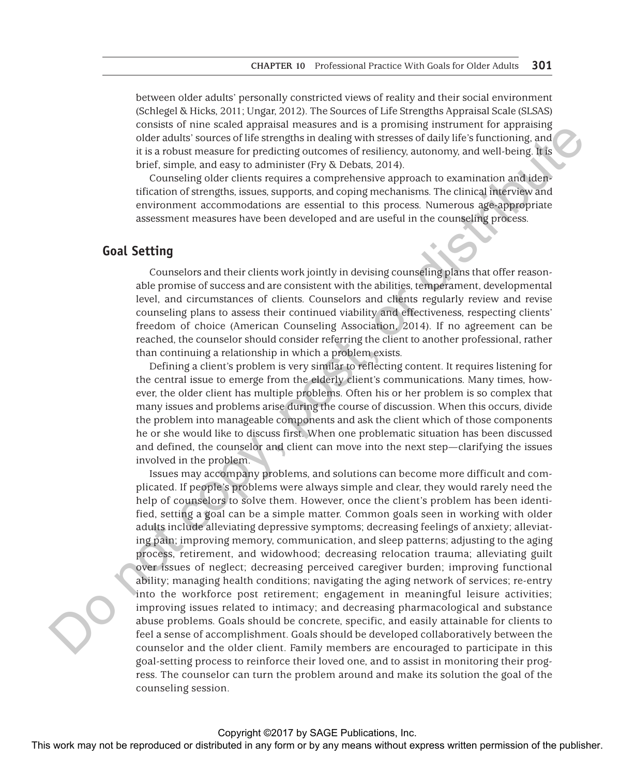between older adults' personally constricted views of reality and their social environment (Schlegel & Hicks, 2011; Ungar, 2012). The Sources of Life Strengths Appraisal Scale (SLSAS) consists of nine scaled appraisal measures and is a promising instrument for appraising older adults' sources of life strengths in dealing with stresses of daily life's functioning, and it is a robust measure for predicting outcomes of resiliency, autonomy, and well-being. It is brief, simple, and easy to administer (Fry & Debats, 2014).

Counseling older clients requires a comprehensive approach to examination and identification of strengths, issues, supports, and coping mechanisms. The clinical interview and environment accommodations are essential to this process. Numerous age-appropriate assessment measures have been developed and are useful in the counseling process.

## **Goal Setting**

Counselors and their clients work jointly in devising counseling plans that offer reasonable promise of success and are consistent with the abilities, temperament, developmental level, and circumstances of clients. Counselors and clients regularly review and revise counseling plans to assess their continued viability and effectiveness, respecting clients' freedom of choice (American Counseling Association, 2014). If no agreement can be reached, the counselor should consider referring the client to another professional, rather than continuing a relationship in which a problem exists.

Defining a client's problem is very similar to reflecting content. It requires listening for the central issue to emerge from the elderly client's communications. Many times, however, the older client has multiple problems. Often his or her problem is so complex that many issues and problems arise during the course of discussion. When this occurs, divide the problem into manageable components and ask the client which of those components he or she would like to discuss first. When one problematic situation has been discussed and defined, the counselor and client can move into the next step—clarifying the issues involved in the problem.

Issues may accompany problems, and solutions can become more difficult and complicated. If people's problems were always simple and clear, they would rarely need the help of counselors to solve them. However, once the client's problem has been identified, setting a goal can be a simple matter. Common goals seen in working with older adults include alleviating depressive symptoms; decreasing feelings of anxiety; alleviating pain; improving memory, communication, and sleep patterns; adjusting to the aging process, retirement, and widowhood; decreasing relocation trauma; alleviating guilt over issues of neglect; decreasing perceived caregiver burden; improving functional ability; managing health conditions; navigating the aging network of services; re-entry into the workforce post retirement; engagement in meaningful leisure activities; improving issues related to intimacy; and decreasing pharmacological and substance abuse problems. Goals should be concrete, specific, and easily attainable for clients to feel a sense of accomplishment. Goals should be developed collaboratively between the counselor and the older client. Family members are encouraged to participate in this goal-setting process to reinforce their loved one, and to assist in monitoring their progress. The counselor can turn the problem around and make its solution the goal of the counseling session. domestic or the search of the search of the search of the search of the search of the search of the search of the search of the search of the search of the search of the search of the search of the search of the search of

#### Copyright ©2017 by SAGE Publications, Inc.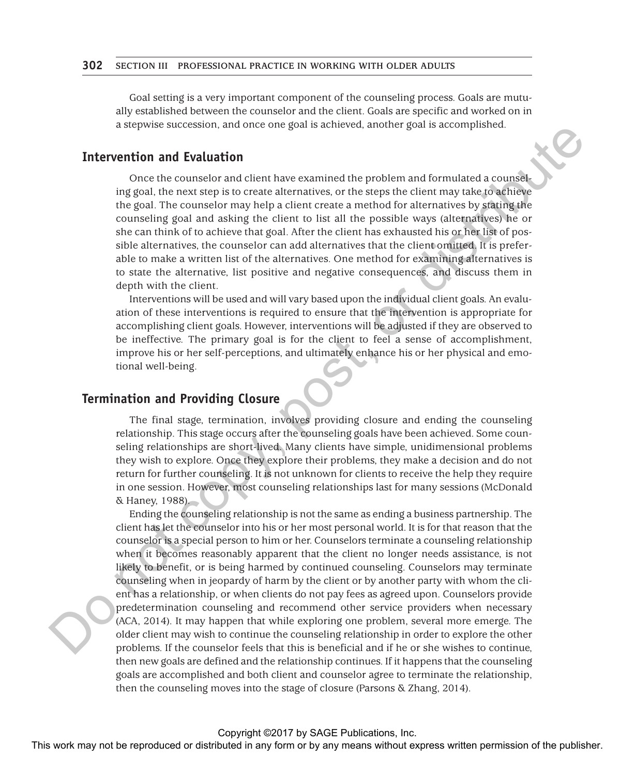Goal setting is a very important component of the counseling process. Goals are mutually established between the counselor and the client. Goals are specific and worked on in a stepwise succession, and once one goal is achieved, another goal is accomplished.

## **Intervention and Evaluation**

Once the counselor and client have examined the problem and formulated a counseling goal, the next step is to create alternatives, or the steps the client may take to achieve the goal. The counselor may help a client create a method for alternatives by stating the counseling goal and asking the client to list all the possible ways (alternatives) he or she can think of to achieve that goal. After the client has exhausted his or her list of possible alternatives, the counselor can add alternatives that the client omitted. It is preferable to make a written list of the alternatives. One method for examining alternatives is to state the alternative, list positive and negative consequences, and discuss them in depth with the client.

Interventions will be used and will vary based upon the individual client goals. An evaluation of these interventions is required to ensure that the intervention is appropriate for accomplishing client goals. However, interventions will be adjusted if they are observed to be ineffective. The primary goal is for the client to feel a sense of accomplishment, improve his or her self-perceptions, and ultimately enhance his or her physical and emotional well-being.

## **Termination and Providing Closure**

The final stage, termination, involves providing closure and ending the counseling relationship. This stage occurs after the counseling goals have been achieved. Some counseling relationships are short-lived. Many clients have simple, unidimensional problems they wish to explore. Once they explore their problems, they make a decision and do not return for further counseling. It is not unknown for clients to receive the help they require in one session. However, most counseling relationships last for many sessions (McDonald & Haney, 1988).

Ending the counseling relationship is not the same as ending a business partnership. The client has let the counselor into his or her most personal world. It is for that reason that the counselor is a special person to him or her. Counselors terminate a counseling relationship when it becomes reasonably apparent that the client no longer needs assistance, is not likely to benefit, or is being harmed by continued counseling. Counselors may terminate counseling when in jeopardy of harm by the client or by another party with whom the client has a relationship, or when clients do not pay fees as agreed upon. Counselors provide predetermination counseling and recommend other service providers when necessary (ACA, 2014). It may happen that while exploring one problem, several more emerge. The older client may wish to continue the counseling relationship in order to explore the other problems. If the counselor feels that this is beneficial and if he or she wishes to continue, then new goals are defined and the relationship continues. If it happens that the counseling goals are accomplished and both client and counselor agree to terminate the relationship, then the counseling moves into the stage of closure (Parsons & Zhang, 2014). a stephete soutcesson, and under the past as a stetlented and the stephete of the stephete of the complete the past and detection of the stephete of the stephete the space of the stephete the stephete the space that the st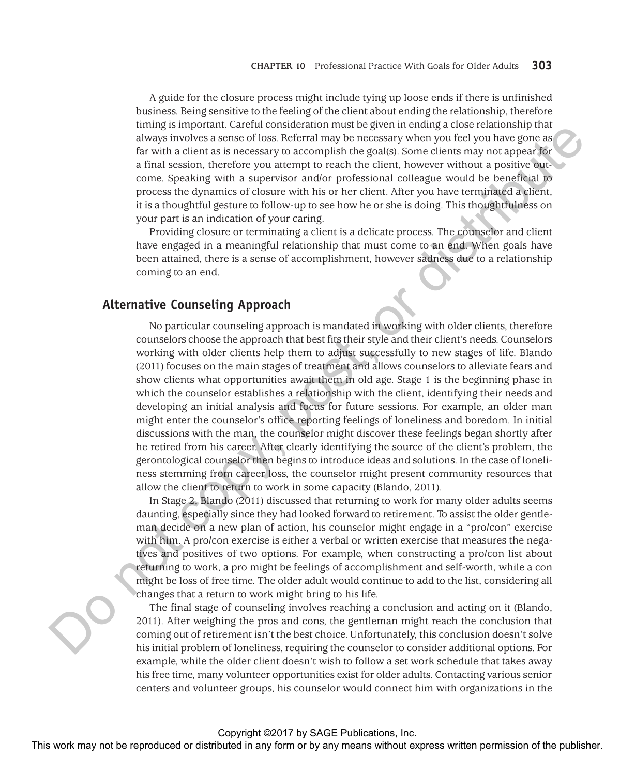A guide for the closure process might include tying up loose ends if there is unfinished business. Being sensitive to the feeling of the client about ending the relationship, therefore timing is important. Careful consideration must be given in ending a close relationship that always involves a sense of loss. Referral may be necessary when you feel you have gone as far with a client as is necessary to accomplish the goal(s). Some clients may not appear for a final session, therefore you attempt to reach the client, however without a positive outcome. Speaking with a supervisor and/or professional colleague would be beneficial to process the dynamics of closure with his or her client. After you have terminated a client, it is a thoughtful gesture to follow-up to see how he or she is doing. This thoughtfulness on your part is an indication of your caring.

Providing closure or terminating a client is a delicate process. The counselor and client have engaged in a meaningful relationship that must come to an end. When goals have been attained, there is a sense of accomplishment, however sadness due to a relationship coming to an end.

## **Alternative Counseling Approach**

No particular counseling approach is mandated in working with older clients, therefore counselors choose the approach that best fits their style and their client's needs. Counselors working with older clients help them to adjust successfully to new stages of life. Blando (2011) focuses on the main stages of treatment and allows counselors to alleviate fears and show clients what opportunities await them in old age. Stage 1 is the beginning phase in which the counselor establishes a relationship with the client, identifying their needs and developing an initial analysis and focus for future sessions. For example, an older man might enter the counselor's office reporting feelings of loneliness and boredom. In initial discussions with the man, the counselor might discover these feelings began shortly after he retired from his career. After clearly identifying the source of the client's problem, the gerontological counselor then begins to introduce ideas and solutions. In the case of loneliness stemming from career loss, the counselor might present community resources that allow the client to return to work in some capacity (Blando, 2011). may as inportant care controllant and the general interaction and the state of the state of the state of the state of the state of the state and spin term into the state of the state of the state of the state of the state

In Stage 2, Blando (2011) discussed that returning to work for many older adults seems daunting, especially since they had looked forward to retirement. To assist the older gentleman decide on a new plan of action, his counselor might engage in a "pro/con" exercise with him. A pro/con exercise is either a verbal or written exercise that measures the negatives and positives of two options. For example, when constructing a pro/con list about returning to work, a pro might be feelings of accomplishment and self-worth, while a con might be loss of free time. The older adult would continue to add to the list, considering all changes that a return to work might bring to his life.

The final stage of counseling involves reaching a conclusion and acting on it (Blando, 2011). After weighing the pros and cons, the gentleman might reach the conclusion that coming out of retirement isn't the best choice. Unfortunately, this conclusion doesn't solve his initial problem of loneliness, requiring the counselor to consider additional options. For example, while the older client doesn't wish to follow a set work schedule that takes away his free time, many volunteer opportunities exist for older adults. Contacting various senior centers and volunteer groups, his counselor would connect him with organizations in the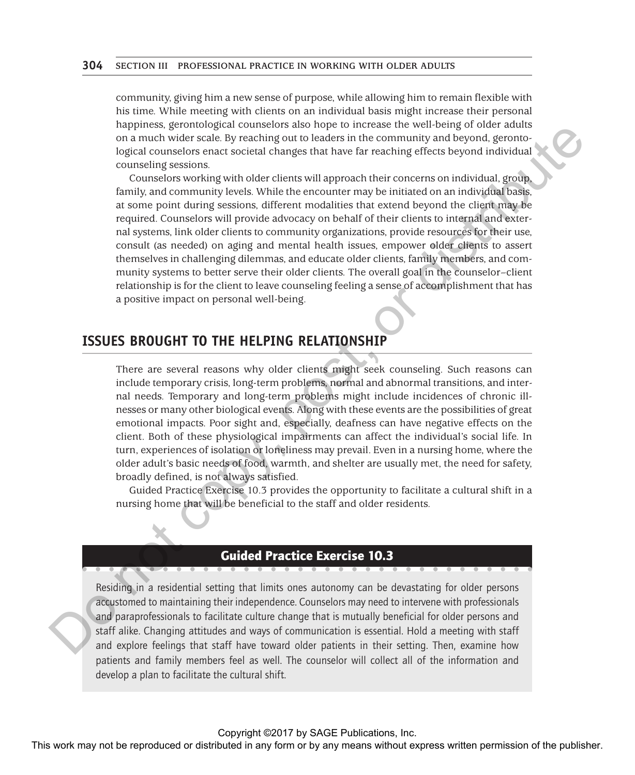community, giving him a new sense of purpose, while allowing him to remain flexible with his time. While meeting with clients on an individual basis might increase their personal happiness, gerontological counselors also hope to increase the well-being of older adults on a much wider scale. By reaching out to leaders in the community and beyond, gerontological counselors enact societal changes that have far reaching effects beyond individual counseling sessions.

Counselors working with older clients will approach their concerns on individual, group, family, and community levels. While the encounter may be initiated on an individual basis, at some point during sessions, different modalities that extend beyond the client may be required. Counselors will provide advocacy on behalf of their clients to internal and external systems, link older clients to community organizations, provide resources for their use, consult (as needed) on aging and mental health issues, empower older clients to assert themselves in challenging dilemmas, and educate older clients, family members, and community systems to better serve their older clients. The overall goal in the counselor–client relationship is for the client to leave counseling feeling a sense of accomplishment that has a positive impact on personal well-being. notinear a geomological constants are not consider the matter and the matter and the matter of the methanological constants are a matter of the methanological constants are a matter of the constant and consider the second

# **ISSUES BROUGHT TO THE HELPING RELATIONSHIP**

There are several reasons why older clients might seek counseling. Such reasons can include temporary crisis, long-term problems, normal and abnormal transitions, and internal needs. Temporary and long-term problems might include incidences of chronic illnesses or many other biological events. Along with these events are the possibilities of great emotional impacts. Poor sight and, especially, deafness can have negative effects on the client. Both of these physiological impairments can affect the individual's social life. In turn, experiences of isolation or loneliness may prevail. Even in a nursing home, where the older adult's basic needs of food, warmth, and shelter are usually met, the need for safety, broadly defined, is not always satisfied.

Guided Practice Exercise 10.3 provides the opportunity to facilitate a cultural shift in a nursing home that will be beneficial to the staff and older residents.

## Guided Practice Exercise 10.3

Residing in a residential setting that limits ones autonomy can be devastating for older persons accustomed to maintaining their independence. Counselors may need to intervene with professionals and paraprofessionals to facilitate culture change that is mutually beneficial for older persons and staff alike. Changing attitudes and ways of communication is essential. Hold a meeting with staff and explore feelings that staff have toward older patients in their setting. Then, examine how patients and family members feel as well. The counselor will collect all of the information and develop a plan to facilitate the cultural shift.

Copyright ©2017 by SAGE Publications, Inc.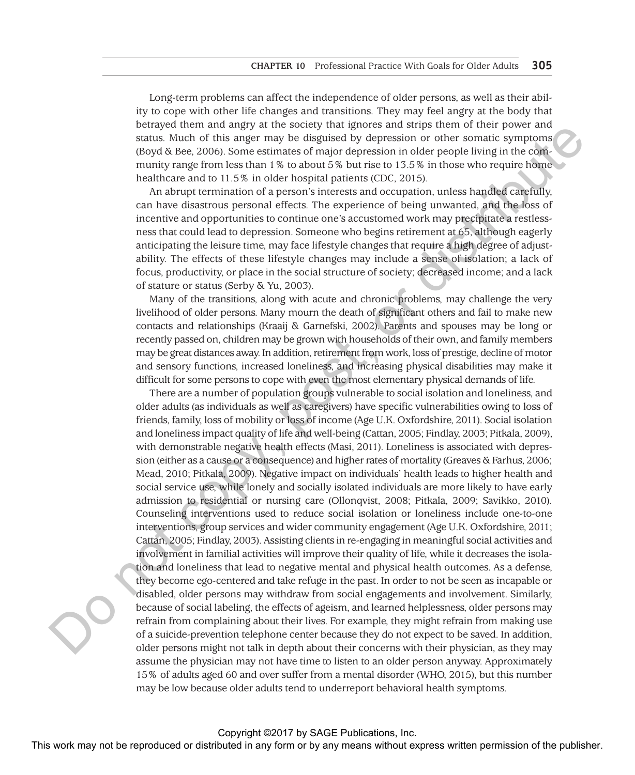Long-term problems can affect the independence of older persons, as well as their ability to cope with other life changes and transitions. They may feel angry at the body that betrayed them and angry at the society that ignores and strips them of their power and status. Much of this anger may be disguised by depression or other somatic symptoms (Boyd & Bee, 2006). Some estimates of major depression in older people living in the community range from less than 1% to about 5% but rise to 13.5% in those who require home healthcare and to 11.5% in older hospital patients (CDC, 2015).

An abrupt termination of a person's interests and occupation, unless handled carefully, can have disastrous personal effects. The experience of being unwanted, and the loss of incentive and opportunities to continue one's accustomed work may precipitate a restlessness that could lead to depression. Someone who begins retirement at 65, although eagerly anticipating the leisure time, may face lifestyle changes that require a high degree of adjustability. The effects of these lifestyle changes may include a sense of isolation; a lack of focus, productivity, or place in the social structure of society; decreased income; and a lack of stature or status (Serby & Yu, 2003).

Many of the transitions, along with acute and chronic problems, may challenge the very livelihood of older persons. Many mourn the death of significant others and fail to make new contacts and relationships (Kraaij & Garnefski, 2002). Parents and spouses may be long or recently passed on, children may be grown with households of their own, and family members may be great distances away. In addition, retirement from work, loss of prestige, decline of motor and sensory functions, increased loneliness, and increasing physical disabilities may make it difficult for some persons to cope with even the most elementary physical demands of life.

There are a number of population groups vulnerable to social isolation and loneliness, and older adults (as individuals as well as caregivers) have specific vulnerabilities owing to loss of friends, family, loss of mobility or loss of income (Age U.K. Oxfordshire, 2011). Social isolation and loneliness impact quality of life and well-being (Cattan, 2005; Findlay, 2003; Pitkala, 2009), with demonstrable negative health effects (Masi, 2011). Loneliness is associated with depression (either as a cause or a consequence) and higher rates of mortality (Greaves & Farhus, 2006; Mead, 2010; Pitkala, 2009). Negative impact on individuals' health leads to higher health and social service use, while lonely and socially isolated individuals are more likely to have early admission to residential or nursing care (Ollonqvist, 2008; Pitkala, 2009; Savikko, 2010). Counseling interventions used to reduce social isolation or loneliness include one-to-one interventions, group services and wider community engagement (Age U.K. Oxfordshire, 2011; Cattan, 2005; Findlay, 2003). Assisting clients in re-engaging in meaningful social activities and involvement in familial activities will improve their quality of life, while it decreases the isolation and loneliness that lead to negative mental and physical health outcomes. As a defense, they become ego-centered and take refuge in the past. In order to not be seen as incapable or disabled, older persons may withdraw from social engagements and involvement. Similarly, because of social labeling, the effects of ageism, and learned helplessness, older persons may refrain from complaining about their lives. For example, they might refrain from making use of a suicide-prevention telephone center because they do not expect to be saved. In addition, older persons might not talk in depth about their concerns with their physician, as they may assume the physician may not have time to listen to an older person anyway. Approximately 15% of adults aged 60 and over suffer from a mental disorder (WHO, 2015), but this number may be low because older adults tend to underreport behavioral health symptoms. because the main angly at the society and gap to the society of the society of the society and sample form of the society and the society and sample form of the society and the society of the society of the society of the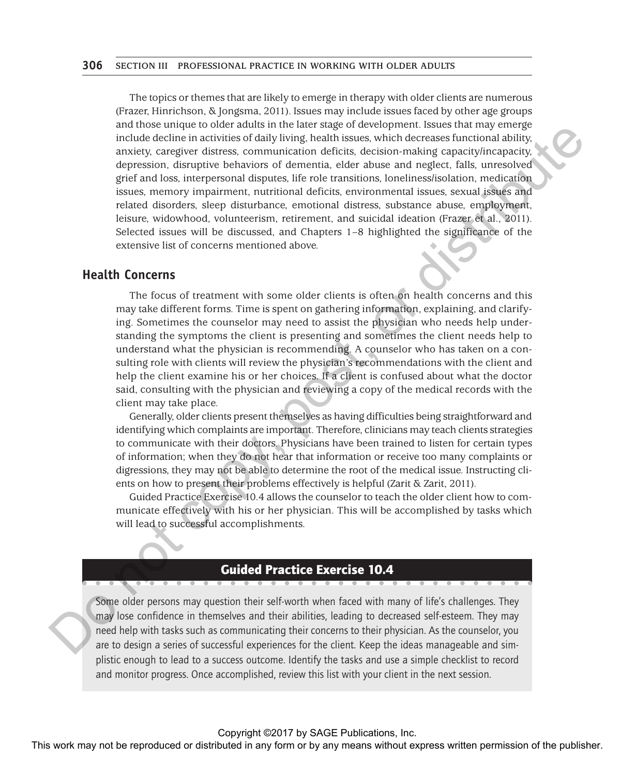The topics or themes that are likely to emerge in therapy with older clients are numerous (Frazer, Hinrichson, & Jongsma, 2011). Issues may include issues faced by other age groups and those unique to older adults in the later stage of development. Issues that may emerge include decline in activities of daily living, health issues, which decreases functional ability, anxiety, caregiver distress, communication deficits, decision-making capacity/incapacity, depression, disruptive behaviors of dementia, elder abuse and neglect, falls, unresolved grief and loss, interpersonal disputes, life role transitions, loneliness/isolation, medication issues, memory impairment, nutritional deficits, environmental issues, sexual issues and related disorders, sleep disturbance, emotional distress, substance abuse, employment, leisure, widowhood, volunteerism, retirement, and suicidal ideation (Frazer et al., 2011). Selected issues will be discussed, and Chapters 1–8 highlighted the significance of the extensive list of concerns mentioned above. and use complete controllation in the task same of the controllation in the state and the complete and the complete and the complete and the complete and the complete and the complete and the complete and the controllation

## **Health Concerns**

The focus of treatment with some older clients is often on health concerns and this may take different forms. Time is spent on gathering information, explaining, and clarifying. Sometimes the counselor may need to assist the physician who needs help understanding the symptoms the client is presenting and sometimes the client needs help to understand what the physician is recommending. A counselor who has taken on a consulting role with clients will review the physician's recommendations with the client and help the client examine his or her choices. If a client is confused about what the doctor said, consulting with the physician and reviewing a copy of the medical records with the client may take place.

Generally, older clients present themselves as having difficulties being straightforward and identifying which complaints are important. Therefore, clinicians may teach clients strategies to communicate with their doctors. Physicians have been trained to listen for certain types of information; when they do not hear that information or receive too many complaints or digressions, they may not be able to determine the root of the medical issue. Instructing clients on how to present their problems effectively is helpful (Zarit  $\&$  Zarit, 2011).

Guided Practice Exercise 10.4 allows the counselor to teach the older client how to communicate effectively with his or her physician. This will be accomplished by tasks which will lead to successful accomplishments.

# Guided Practice Exercise 10.4

Some older persons may question their self-worth when faced with many of life's challenges. They may lose confidence in themselves and their abilities, leading to decreased self-esteem. They may need help with tasks such as communicating their concerns to their physician. As the counselor, you are to design a series of successful experiences for the client. Keep the ideas manageable and simplistic enough to lead to a success outcome. Identify the tasks and use a simple checklist to record and monitor progress. Once accomplished, review this list with your client in the next session.

Copyright ©2017 by SAGE Publications, Inc.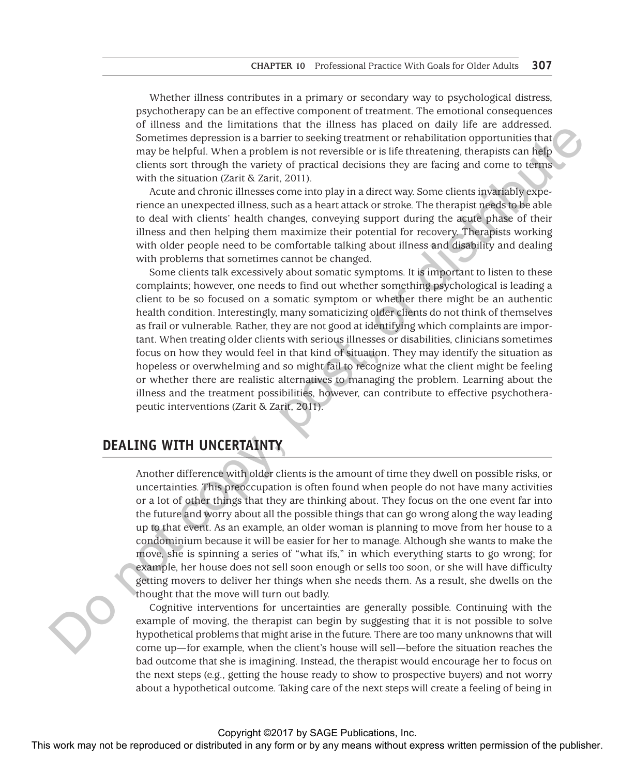Whether illness contributes in a primary or secondary way to psychological distress, psychotherapy can be an effective component of treatment. The emotional consequences of illness and the limitations that the illness has placed on daily life are addressed. Sometimes depression is a barrier to seeking treatment or rehabilitation opportunities that may be helpful. When a problem is not reversible or is life threatening, therapists can help clients sort through the variety of practical decisions they are facing and come to terms with the situation (Zarit & Zarit, 2011).

Acute and chronic illnesses come into play in a direct way. Some clients invariably experience an unexpected illness, such as a heart attack or stroke. The therapist needs to be able to deal with clients' health changes, conveying support during the acute phase of their illness and then helping them maximize their potential for recovery. Therapists working with older people need to be comfortable talking about illness and disability and dealing with problems that sometimes cannot be changed.

Some clients talk excessively about somatic symptoms. It is important to listen to these complaints; however, one needs to find out whether something psychological is leading a client to be so focused on a somatic symptom or whether there might be an authentic health condition. Interestingly, many somaticizing older clients do not think of themselves as frail or vulnerable. Rather, they are not good at identifying which complaints are important. When treating older clients with serious illnesses or disabilities, clinicians sometimes focus on how they would feel in that kind of situation. They may identify the situation as hopeless or overwhelming and so might fail to recognize what the client might be feeling or whether there are realistic alternatives to managing the problem. Learning about the illness and the treatment possibilities, however, can contribute to effective psychotherapeutic interventions (Zarit & Zarit, 2011). or ances on the minimizon time that is a general to the minimizon that is a general to the minimizon of the minimizon of the minimizon of the minimizon of the minimizon of the minimizon of the minimizon of the minimizon

# **DEALING WITH UNCERTAINTY**

Another difference with older clients is the amount of time they dwell on possible risks, or uncertainties. This preoccupation is often found when people do not have many activities or a lot of other things that they are thinking about. They focus on the one event far into the future and worry about all the possible things that can go wrong along the way leading up to that event. As an example, an older woman is planning to move from her house to a condominium because it will be easier for her to manage. Although she wants to make the move, she is spinning a series of "what ifs," in which everything starts to go wrong; for example, her house does not sell soon enough or sells too soon, or she will have difficulty getting movers to deliver her things when she needs them. As a result, she dwells on the thought that the move will turn out badly.

Cognitive interventions for uncertainties are generally possible. Continuing with the example of moving, the therapist can begin by suggesting that it is not possible to solve hypothetical problems that might arise in the future. There are too many unknowns that will come up—for example, when the client's house will sell—before the situation reaches the bad outcome that she is imagining. Instead, the therapist would encourage her to focus on the next steps (e.g., getting the house ready to show to prospective buyers) and not worry about a hypothetical outcome. Taking care of the next steps will create a feeling of being in

#### Copyright ©2017 by SAGE Publications, Inc.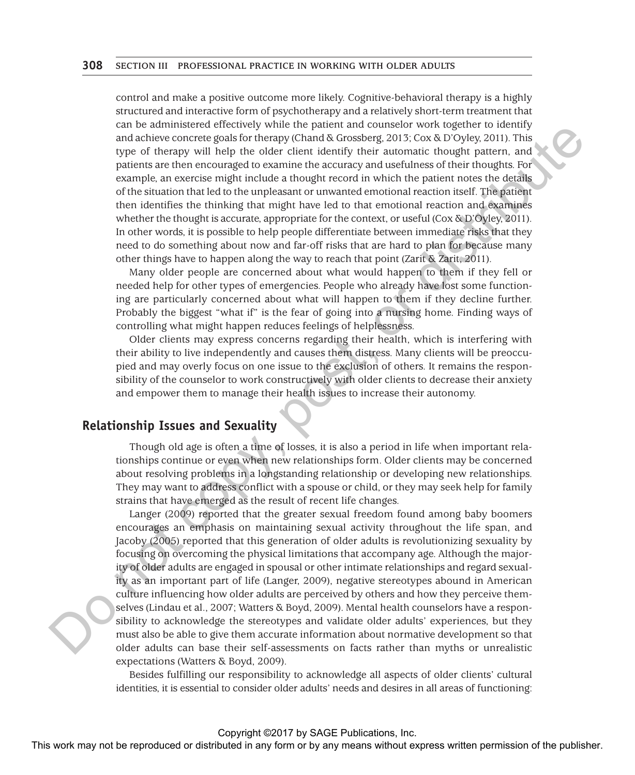control and make a positive outcome more likely. Cognitive-behavioral therapy is a highly structured and interactive form of psychotherapy and a relatively short-term treatment that can be administered effectively while the patient and counselor work together to identify and achieve concrete goals for therapy (Chand & Grossberg, 2013; Cox & D'Oyley, 2011). This type of therapy will help the older client identify their automatic thought pattern, and patients are then encouraged to examine the accuracy and usefulness of their thoughts. For example, an exercise might include a thought record in which the patient notes the details of the situation that led to the unpleasant or unwanted emotional reaction itself. The patient then identifies the thinking that might have led to that emotional reaction and examines whether the thought is accurate, appropriate for the context, or useful (Cox  $\&$  D'Oyley, 2011). In other words, it is possible to help people differentiate between immediate risks that they need to do something about now and far-off risks that are hard to plan for because many other things have to happen along the way to reach that point (Zarit  $\&$  Zarit, 2011).

Many older people are concerned about what would happen to them if they fell or needed help for other types of emergencies. People who already have lost some functioning are particularly concerned about what will happen to them if they decline further. Probably the biggest "what if" is the fear of going into a nursing home. Finding ways of controlling what might happen reduces feelings of helplessness.

Older clients may express concerns regarding their health, which is interfering with their ability to live independently and causes them distress. Many clients will be preoccupied and may overly focus on one issue to the exclusion of others. It remains the responsibility of the counselor to work constructively with older clients to decrease their anxiety and empower them to manage their health issues to increase their autonomy.

## **Relationship Issues and Sexuality**

Though old age is often a time of losses, it is also a period in life when important relationships continue or even when new relationships form. Older clients may be concerned about resolving problems in a longstanding relationship or developing new relationships. They may want to address conflict with a spouse or child, or they may seek help for family strains that have emerged as the result of recent life changes.

Langer (2009) reported that the greater sexual freedom found among baby boomers encourages an emphasis on maintaining sexual activity throughout the life span, and Jacoby (2005) reported that this generation of older adults is revolutionizing sexuality by focusing on overcoming the physical limitations that accompany age. Although the majority of older adults are engaged in spousal or other intimate relationships and regard sexuality as an important part of life (Langer, 2009), negative stereotypes abound in American culture influencing how older adults are perceived by others and how they perceive themselves (Lindau et al., 2007; Watters & Boyd, 2009). Mental health counselors have a responsibility to acknowledge the stereotypes and validate older adults' experiences, but they must also be able to give them accurate information about normative development so that older adults can base their self-assessments on facts rather than myths or unrealistic expectations (Watters & Boyd, 2009). Latter and the positive of the positive of the positive of the comparison with the positive of the start and the positive of the start and the positive of the start and the positive of the start and the positive of the st

> Besides fulfilling our responsibility to acknowledge all aspects of older clients' cultural identities, it is essential to consider older adults' needs and desires in all areas of functioning:

#### Copyright ©2017 by SAGE Publications, Inc.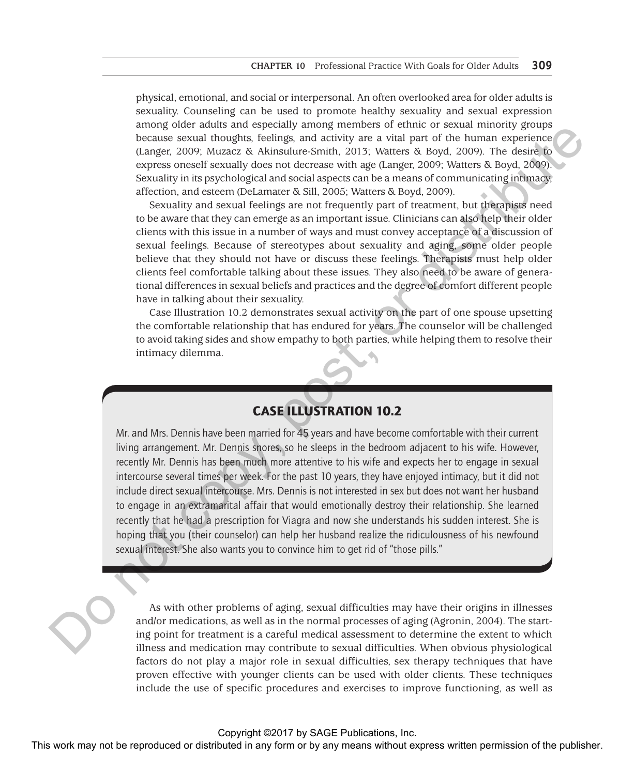physical, emotional, and social or interpersonal. An often overlooked area for older adults is sexuality. Counseling can be used to promote healthy sexuality and sexual expression among older adults and especially among members of ethnic or sexual minority groups because sexual thoughts, feelings, and activity are a vital part of the human experience (Langer, 2009; Muzacz & Akinsulure-Smith, 2013; Watters & Boyd, 2009). The desire to express oneself sexually does not decrease with age (Langer, 2009; Watters & Boyd, 2009). Sexuality in its psychological and social aspects can be a means of communicating intimacy, affection, and esteem (DeLamater & Sill, 2005; Watters & Boyd, 2009).

Sexuality and sexual feelings are not frequently part of treatment, but therapists need to be aware that they can emerge as an important issue. Clinicians can also help their older clients with this issue in a number of ways and must convey acceptance of a discussion of sexual feelings. Because of stereotypes about sexuality and aging, some older people believe that they should not have or discuss these feelings. Therapists must help older clients feel comfortable talking about these issues. They also need to be aware of generational differences in sexual beliefs and practices and the degree of comfort different people have in talking about their sexuality.

Case Illustration 10.2 demonstrates sexual activity on the part of one spouse upsetting the comfortable relationship that has endured for years. The counselor will be challenged to avoid taking sides and show empathy to both parties, while helping them to resolve their intimacy dilemma.

# CASE ILLUSTRATION 10.2

Mr. and Mrs. Dennis have been married for 45 years and have become comfortable with their current living arrangement. Mr. Dennis snores, so he sleeps in the bedroom adjacent to his wife. However, recently Mr. Dennis has been much more attentive to his wife and expects her to engage in sexual intercourse several times per week. For the past 10 years, they have enjoyed intimacy, but it did not include direct sexual intercourse. Mrs. Dennis is not interested in sex but does not want her husband to engage in an extramarital affair that would emotionally destroy their relationship. She learned recently that he had a prescription for Viagra and now she understands his sudden interest. She is hoping that you (their counselor) can help her husband realize the ridiculousness of his newfound sexual interest. She also wants you to convince him to get rid of "those pills." ation of the matter and the special way another section, and the special matter and the special matter of the special matter of the special matter of the special matter of the special matter of the special control of the s

As with other problems of aging, sexual difficulties may have their origins in illnesses and/or medications, as well as in the normal processes of aging (Agronin, 2004). The starting point for treatment is a careful medical assessment to determine the extent to which illness and medication may contribute to sexual difficulties. When obvious physiological factors do not play a major role in sexual difficulties, sex therapy techniques that have proven effective with younger clients can be used with older clients. These techniques include the use of specific procedures and exercises to improve functioning, as well as

#### Copyright ©2017 by SAGE Publications, Inc.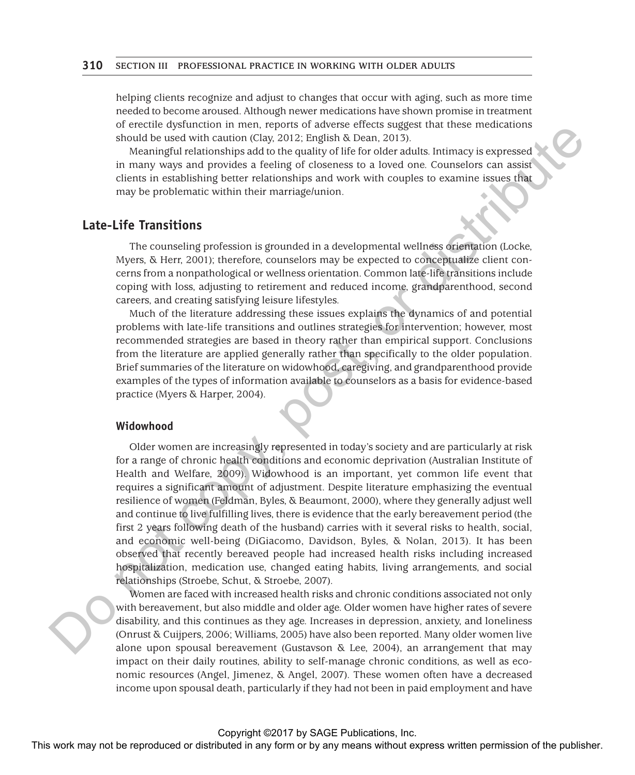helping clients recognize and adjust to changes that occur with aging, such as more time needed to become aroused. Although newer medications have shown promise in treatment of erectile dysfunction in men, reports of adverse effects suggest that these medications should be used with caution (Clay, 2012; English & Dean, 2013).

Meaningful relationships add to the quality of life for older adults. Intimacy is expressed in many ways and provides a feeling of closeness to a loved one. Counselors can assist clients in establishing better relationships and work with couples to examine issues that may be problematic within their marriage/union.

## **Late-Life Transitions**

The counseling profession is grounded in a developmental wellness orientation (Locke, Myers, & Herr, 2001); therefore, counselors may be expected to conceptualize client concerns from a nonpathological or wellness orientation. Common late-life transitions include coping with loss, adjusting to retirement and reduced income, grandparenthood, second careers, and creating satisfying leisure lifestyles.

Much of the literature addressing these issues explains the dynamics of and potential problems with late-life transitions and outlines strategies for intervention; however, most recommended strategies are based in theory rather than empirical support. Conclusions from the literature are applied generally rather than specifically to the older population. Brief summaries of the literature on widowhood, caregiving, and grandparenthood provide examples of the types of information available to counselors as a basis for evidence-based practice (Myers & Harper, 2004).

#### **Widowhood**

Older women are increasingly represented in today's society and are particularly at risk for a range of chronic health conditions and economic deprivation (Australian Institute of Health and Welfare, 2009). Widowhood is an important, yet common life event that requires a significant amount of adjustment. Despite literature emphasizing the eventual resilience of women (Feldman, Byles, & Beaumont, 2000), where they generally adjust well and continue to live fulfilling lives, there is evidence that the early bereavement period (the first 2 years following death of the husband) carries with it several risks to health, social, and economic well-being (DiGiacomo, Davidson, Byles, & Nolan, 2013). It has been observed that recently bereaved people had increased health risks including increased hospitalization, medication use, changed eating habits, living arrangements, and social relationships (Stroebe, Schut, & Stroebe, 2007). of solven the strength of the strength of the strength of the strength of the strength of the strength of the strength of countering the strength of the strength of the strength of the strength of the strength of the stren

Women are faced with increased health risks and chronic conditions associated not only with bereavement, but also middle and older age. Older women have higher rates of severe disability, and this continues as they age. Increases in depression, anxiety, and loneliness (Onrust & Cuijpers, 2006; Williams, 2005) have also been reported. Many older women live alone upon spousal bereavement (Gustavson & Lee, 2004), an arrangement that may impact on their daily routines, ability to self-manage chronic conditions, as well as economic resources (Angel, Jimenez, & Angel, 2007). These women often have a decreased income upon spousal death, particularly if they had not been in paid employment and have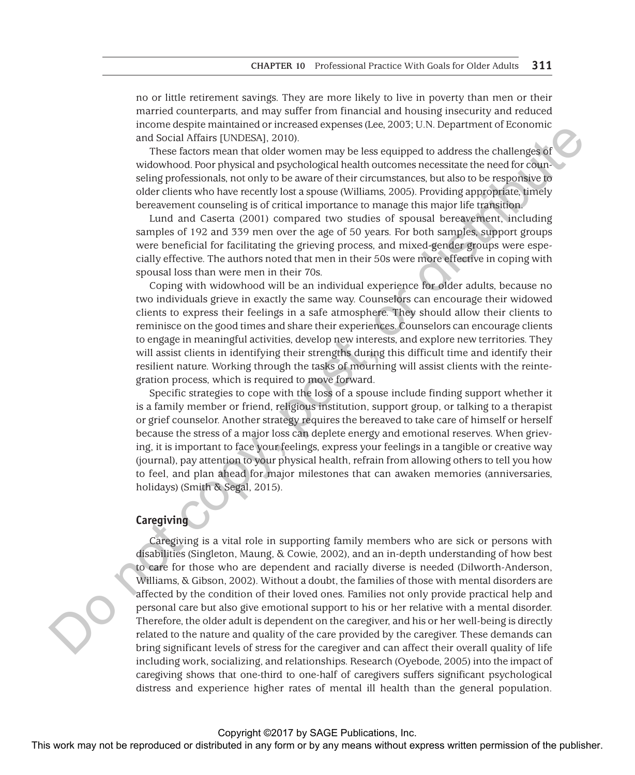no or little retirement savings. They are more likely to live in poverty than men or their married counterparts, and may suffer from financial and housing insecurity and reduced income despite maintained or increased expenses (Lee, 2003; U.N. Department of Economic and Social Affairs [UNDESA], 2010).

These factors mean that older women may be less equipped to address the challenges of widowhood. Poor physical and psychological health outcomes necessitate the need for counseling professionals, not only to be aware of their circumstances, but also to be responsive to older clients who have recently lost a spouse (Williams, 2005). Providing appropriate, timely bereavement counseling is of critical importance to manage this major life transition.

Lund and Caserta (2001) compared two studies of spousal bereavement, including samples of 192 and 339 men over the age of 50 years. For both samples, support groups were beneficial for facilitating the grieving process, and mixed-gender groups were especially effective. The authors noted that men in their 50s were more effective in coping with spousal loss than were men in their 70s.

Coping with widowhood will be an individual experience for older adults, because no two individuals grieve in exactly the same way. Counselors can encourage their widowed clients to express their feelings in a safe atmosphere. They should allow their clients to reminisce on the good times and share their experiences. Counselors can encourage clients to engage in meaningful activities, develop new interests, and explore new territories. They will assist clients in identifying their strengths during this difficult time and identify their resilient nature. Working through the tasks of mourning will assist clients with the reintegration process, which is required to move forward.

Specific strategies to cope with the loss of a spouse include finding support whether it is a family member or friend, religious institution, support group, or talking to a therapist or grief counselor. Another strategy requires the bereaved to take care of himself or herself because the stress of a major loss can deplete energy and emotional reserves. When grieving, it is important to face your feelings, express your feelings in a tangible or creative way (journal), pay attention to your physical health, refrain from allowing others to tell you how to feel, and plan ahead for major milestones that can awaken memories (anniversaries, holidays) (Smith & Segal, 2015).

#### **Caregiving**

Caregiving is a vital role in supporting family members who are sick or persons with disabilities (Singleton, Maung, & Cowie, 2002), and an in-depth understanding of how best to care for those who are dependent and racially diverse is needed (Dilworth-Anderson, Williams, & Gibson, 2002). Without a doubt, the families of those with mental disorders are affected by the condition of their loved ones. Families not only provide practical help and personal care but also give emotional support to his or her relative with a mental disorder. Therefore, the older adult is dependent on the caregiver, and his or her well-being is directly related to the nature and quality of the care provided by the caregiver. These demands can bring significant levels of stress for the caregiver and can affect their overall quality of life including work, socializing, and relationships. Research (Oyebode, 2005) into the impact of caregiving shows that one-third to one-half of caregivers suffers significant psychological distress and experience higher rates of mental ill health than the general population. matrix to the state of the state of the state of the state of the state of the state of the state of the state of the state of the state of the state of the state of the state of the state of the state of the state of the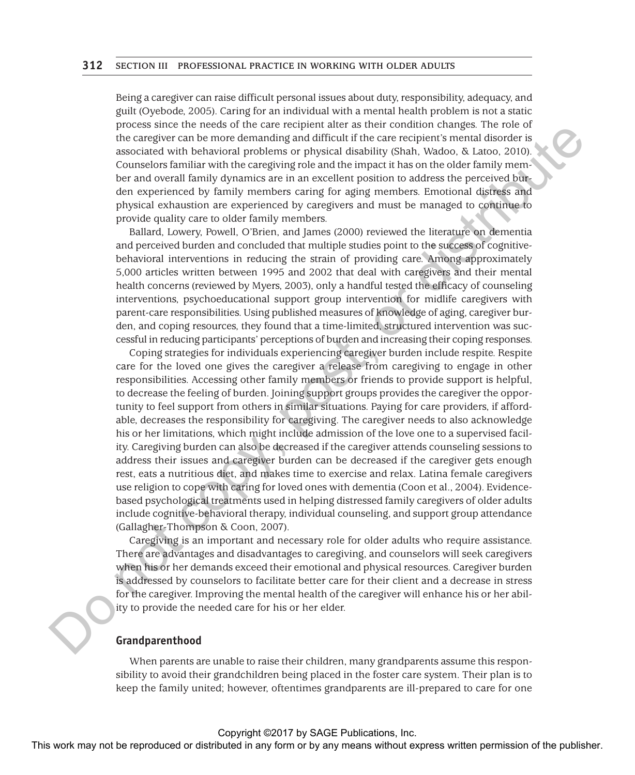#### **312 Section III Professional Practice in Working With Older Adults**

Being a caregiver can raise difficult personal issues about duty, responsibility, adequacy, and guilt (Oyebode, 2005). Caring for an individual with a mental health problem is not a static process since the needs of the care recipient alter as their condition changes. The role of the caregiver can be more demanding and difficult if the care recipient's mental disorder is associated with behavioral problems or physical disability (Shah, Wadoo, & Latoo, 2010). Counselors familiar with the caregiving role and the impact it has on the older family member and overall family dynamics are in an excellent position to address the perceived burden experienced by family members caring for aging members. Emotional distress and physical exhaustion are experienced by caregivers and must be managed to continue to provide quality care to older family members.

Ballard, Lowery, Powell, O'Brien, and James (2000) reviewed the literature on dementia and perceived burden and concluded that multiple studies point to the success of cognitivebehavioral interventions in reducing the strain of providing care. Among approximately 5,000 articles written between 1995 and 2002 that deal with caregivers and their mental health concerns (reviewed by Myers, 2003), only a handful tested the efficacy of counseling interventions, psychoeducational support group intervention for midlife caregivers with parent-care responsibilities. Using published measures of knowledge of aging, caregiver burden, and coping resources, they found that a time-limited, structured intervention was successful in reducing participants' perceptions of burden and increasing their coping responses.

Coping strategies for individuals experiencing caregiver burden include respite. Respite care for the loved one gives the caregiver a release from caregiving to engage in other responsibilities. Accessing other family members or friends to provide support is helpful, to decrease the feeling of burden. Joining support groups provides the caregiver the opportunity to feel support from others in similar situations. Paying for care providers, if affordable, decreases the responsibility for caregiving. The caregiver needs to also acknowledge his or her limitations, which might include admission of the love one to a supervised facility. Caregiving burden can also be decreased if the caregiver attends counseling sessions to address their issues and caregiver burden can be decreased if the caregiver gets enough rest, eats a nutritious diet, and makes time to exercise and relax. Latina female caregivers use religion to cope with caring for loved ones with dementia (Coon et al., 2004). Evidencebased psychological treatments used in helping distressed family caregivers of older adults include cognitive-behavioral therapy, individual counseling, and support group attendance (Gallagher-Thompson & Coon, 2007). process ance to the constraints and the constraints and the constraints and the constraints are interesting that the constraints are interesting to the constraints are the constraints are the constraints are the presented

Caregiving is an important and necessary role for older adults who require assistance. There are advantages and disadvantages to caregiving, and counselors will seek caregivers when his or her demands exceed their emotional and physical resources. Caregiver burden is addressed by counselors to facilitate better care for their client and a decrease in stress for the caregiver. Improving the mental health of the caregiver will enhance his or her ability to provide the needed care for his or her elder.

#### **Grandparenthood**

When parents are unable to raise their children, many grandparents assume this responsibility to avoid their grandchildren being placed in the foster care system. Their plan is to keep the family united; however, oftentimes grandparents are ill-prepared to care for one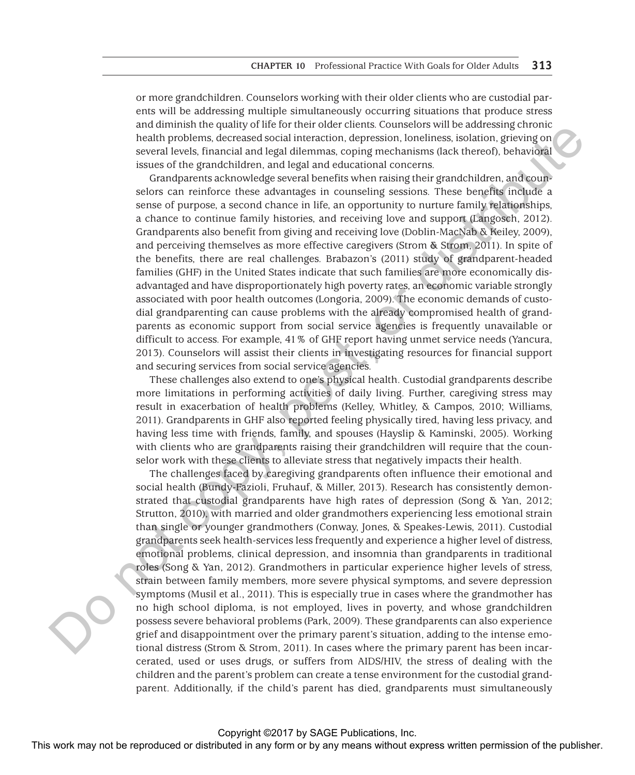or more grandchildren. Counselors working with their older clients who are custodial parents will be addressing multiple simultaneously occurring situations that produce stress and diminish the quality of life for their older clients. Counselors will be addressing chronic health problems, decreased social interaction, depression, loneliness, isolation, grieving on several levels, financial and legal dilemmas, coping mechanisms (lack thereof), behavioral issues of the grandchildren, and legal and educational concerns.

Grandparents acknowledge several benefits when raising their grandchildren, and counselors can reinforce these advantages in counseling sessions. These benefits include a sense of purpose, a second chance in life, an opportunity to nurture family relationships, a chance to continue family histories, and receiving love and support (Langosch, 2012). Grandparents also benefit from giving and receiving love (Doblin-MacNab & Keiley, 2009), and perceiving themselves as more effective caregivers (Strom  $\&$  Strom, 2011). In spite of the benefits, there are real challenges. Brabazon's (2011) study of grandparent-headed families (GHF) in the United States indicate that such families are more economically disadvantaged and have disproportionately high poverty rates, an economic variable strongly associated with poor health outcomes (Longoria, 2009). The economic demands of custodial grandparenting can cause problems with the already compromised health of grandparents as economic support from social service agencies is frequently unavailable or difficult to access. For example, 41% of GHF report having unmet service needs (Yancura, 2013). Counselors will assist their clients in investigating resources for financial support and securing services from social service agencies. and the state of the control of the control of the control of the control of the control of the gradient control of the gradient control of the gradient control of the gradient control of the control of the gradient contro

These challenges also extend to one's physical health. Custodial grandparents describe more limitations in performing activities of daily living. Further, caregiving stress may result in exacerbation of health problems (Kelley, Whitley, & Campos, 2010; Williams, 2011). Grandparents in GHF also reported feeling physically tired, having less privacy, and having less time with friends, family, and spouses (Hayslip & Kaminski, 2005). Working with clients who are grandparents raising their grandchildren will require that the counselor work with these clients to alleviate stress that negatively impacts their health.

The challenges faced by caregiving grandparents often influence their emotional and social health (Bundy-Fazioli, Fruhauf, & Miller, 2013). Research has consistently demonstrated that custodial grandparents have high rates of depression (Song & Yan, 2012; Strutton, 2010), with married and older grandmothers experiencing less emotional strain than single or younger grandmothers (Conway, Jones, & Speakes-Lewis, 2011). Custodial grandparents seek health-services less frequently and experience a higher level of distress, emotional problems, clinical depression, and insomnia than grandparents in traditional roles (Song & Yan, 2012). Grandmothers in particular experience higher levels of stress, strain between family members, more severe physical symptoms, and severe depression symptoms (Musil et al., 2011). This is especially true in cases where the grandmother has no high school diploma, is not employed, lives in poverty, and whose grandchildren possess severe behavioral problems (Park, 2009). These grandparents can also experience grief and disappointment over the primary parent's situation, adding to the intense emotional distress (Strom & Strom, 2011). In cases where the primary parent has been incarcerated, used or uses drugs, or suffers from AIDS/HIV, the stress of dealing with the children and the parent's problem can create a tense environment for the custodial grandparent. Additionally, if the child's parent has died, grandparents must simultaneously

#### Copyright ©2017 by SAGE Publications, Inc.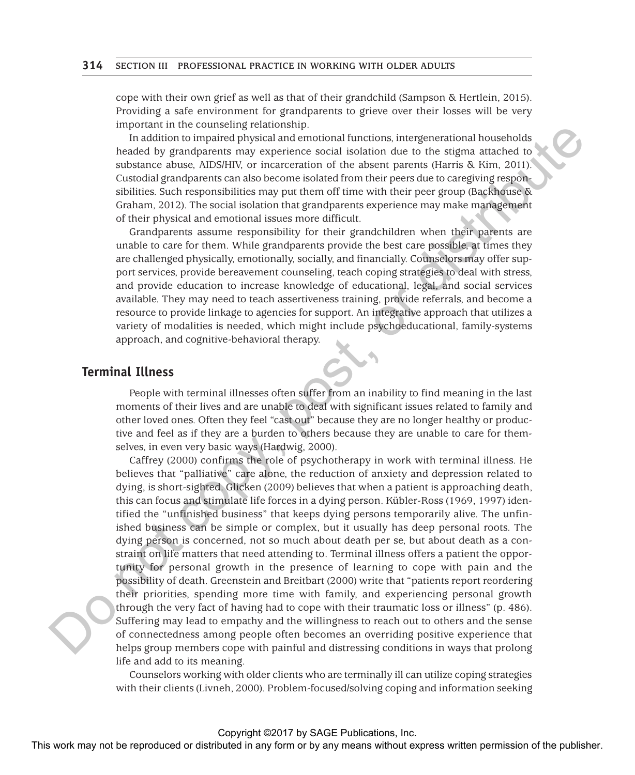cope with their own grief as well as that of their grandchild (Sampson & Hertlein, 2015). Providing a safe environment for grandparents to grieve over their losses will be very important in the counseling relationship.

In addition to impaired physical and emotional functions, intergenerational households headed by grandparents may experience social isolation due to the stigma attached to substance abuse, AIDS/HIV, or incarceration of the absent parents (Harris & Kim, 2011). Custodial grandparents can also become isolated from their peers due to caregiving responsibilities. Such responsibilities may put them off time with their peer group (Backhouse & Graham, 2012). The social isolation that grandparents experience may make management of their physical and emotional issues more difficult.

Grandparents assume responsibility for their grandchildren when their parents are unable to care for them. While grandparents provide the best care possible, at times they are challenged physically, emotionally, socially, and financially. Counselors may offer support services, provide bereavement counseling, teach coping strategies to deal with stress, and provide education to increase knowledge of educational, legal, and social services available. They may need to teach assertiveness training, provide referrals, and become a resource to provide linkage to agencies for support. An integrative approach that utilizes a variety of modalities is needed, which might include psychoeducational, family-systems approach, and cognitive-behavioral therapy.

# **Terminal Illness**

People with terminal illnesses often suffer from an inability to find meaning in the last moments of their lives and are unable to deal with significant issues related to family and other loved ones. Often they feel "cast out" because they are no longer healthy or productive and feel as if they are a burden to others because they are unable to care for themselves, in even very basic ways (Hardwig, 2000).

Caffrey (2000) confirms the role of psychotherapy in work with terminal illness. He believes that "palliative" care alone, the reduction of anxiety and depression related to dying, is short-sighted. Glicken (2009) believes that when a patient is approaching death, this can focus and stimulate life forces in a dying person. Kübler-Ross (1969, 1997) identified the "unfinished business" that keeps dying persons temporarily alive. The unfinished business can be simple or complex, but it usually has deep personal roots. The dying person is concerned, not so much about death per se, but about death as a constraint on life matters that need attending to. Terminal illness offers a patient the opportunity for personal growth in the presence of learning to cope with pain and the possibility of death. Greenstein and Breitbart (2000) write that "patients report reordering their priorities, spending more time with family, and experiencing personal growth through the very fact of having had to cope with their traumatic loss or illness" (p. 486). Suffering may lead to empathy and the willingness to reach out to others and the sense of connectedness among people often becomes an overriding positive experience that helps group members cope with painful and distressing conditions in ways that prolong life and add to its meaning. mpotential it the constrained presentation of the abend of the stationary interests and the station of the abend parameter shares. Although the station of the station of the station of the station constrained constrained c

> Counselors working with older clients who are terminally ill can utilize coping strategies with their clients (Livneh, 2000). Problem-focused/solving coping and information seeking

#### Copyright ©2017 by SAGE Publications, Inc.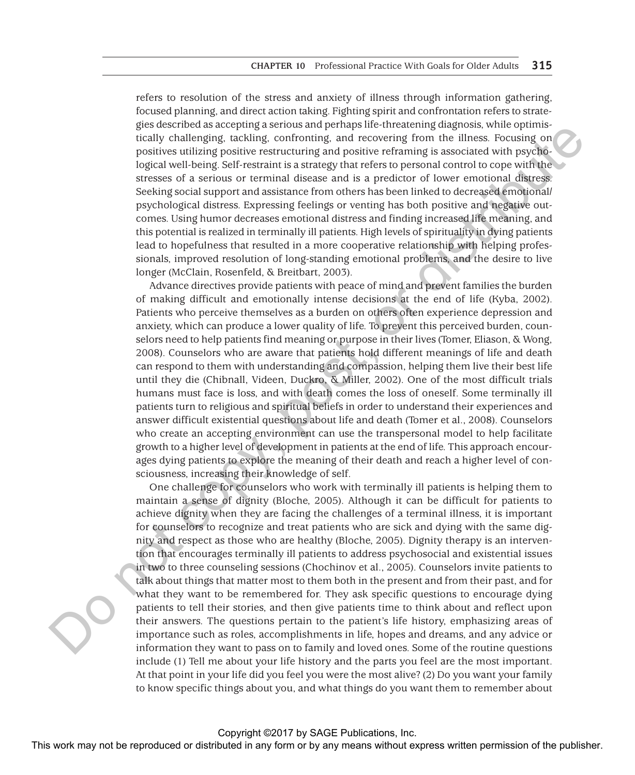refers to resolution of the stress and anxiety of illness through information gathering, focused planning, and direct action taking. Fighting spirit and confrontation refers to strategies described as accepting a serious and perhaps life-threatening diagnosis, while optimistically challenging, tackling, confronting, and recovering from the illness. Focusing on positives utilizing positive restructuring and positive reframing is associated with psychological well-being. Self-restraint is a strategy that refers to personal control to cope with the stresses of a serious or terminal disease and is a predictor of lower emotional distress. Seeking social support and assistance from others has been linked to decreased emotional/ psychological distress. Expressing feelings or venting has both positive and negative outcomes. Using humor decreases emotional distress and finding increased life meaning, and this potential is realized in terminally ill patients. High levels of spirituality in dying patients lead to hopefulness that resulted in a more cooperative relationship with helping professionals, improved resolution of long-standing emotional problems, and the desire to live longer (McClain, Rosenfeld, & Breitbart, 2003).

Advance directives provide patients with peace of mind and prevent families the burden of making difficult and emotionally intense decisions at the end of life (Kyba, 2002). Patients who perceive themselves as a burden on others often experience depression and anxiety, which can produce a lower quality of life. To prevent this perceived burden, counselors need to help patients find meaning or purpose in their lives (Tomer, Eliason, & Wong, 2008). Counselors who are aware that patients hold different meanings of life and death can respond to them with understanding and compassion, helping them live their best life until they die (Chibnall, Videen, Duckro, & Miller, 2002). One of the most difficult trials humans must face is loss, and with death comes the loss of oneself. Some terminally ill patients turn to religious and spiritual beliefs in order to understand their experiences and answer difficult existential questions about life and death (Tomer et al., 2008). Counselors who create an accepting environment can use the transpersonal model to help facilitate growth to a higher level of development in patients at the end of life. This approach encourages dying patients to explore the meaning of their death and reach a higher level of consciousness, increasing their knowledge of self. also consider the consideration of the state of the consideration and the state of the consideration of the consideration of the consideration of the consideration of the consideration of the consideration of the considera

One challenge for counselors who work with terminally ill patients is helping them to maintain a sense of dignity (Bloche, 2005). Although it can be difficult for patients to achieve dignity when they are facing the challenges of a terminal illness, it is important for counselors to recognize and treat patients who are sick and dying with the same dignity and respect as those who are healthy (Bloche, 2005). Dignity therapy is an intervention that encourages terminally ill patients to address psychosocial and existential issues in two to three counseling sessions (Chochinov et al., 2005). Counselors invite patients to talk about things that matter most to them both in the present and from their past, and for what they want to be remembered for. They ask specific questions to encourage dying patients to tell their stories, and then give patients time to think about and reflect upon their answers. The questions pertain to the patient's life history, emphasizing areas of importance such as roles, accomplishments in life, hopes and dreams, and any advice or information they want to pass on to family and loved ones. Some of the routine questions include (1) Tell me about your life history and the parts you feel are the most important. At that point in your life did you feel you were the most alive? (2) Do you want your family to know specific things about you, and what things do you want them to remember about

#### Copyright ©2017 by SAGE Publications, Inc.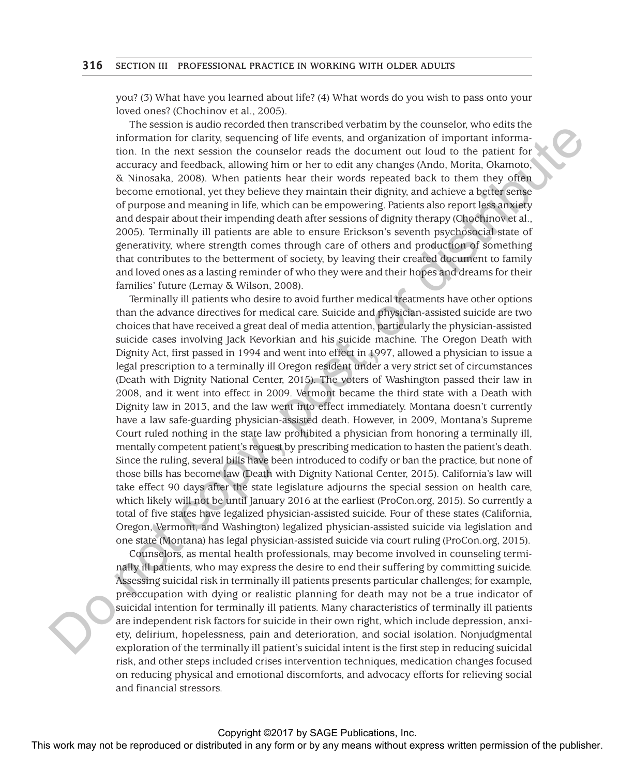you? (3) What have you learned about life? (4) What words do you wish to pass onto your loved ones? (Chochinov et al., 2005).

The session is audio recorded then transcribed verbatim by the counselor, who edits the information for clarity, sequencing of life events, and organization of important information. In the next session the counselor reads the document out loud to the patient for accuracy and feedback, allowing him or her to edit any changes (Ando, Morita, Okamoto, & Ninosaka, 2008). When patients hear their words repeated back to them they often become emotional, yet they believe they maintain their dignity, and achieve a better sense of purpose and meaning in life, which can be empowering. Patients also report less anxiety and despair about their impending death after sessions of dignity therapy (Chochinov et al., 2005). Terminally ill patients are able to ensure Erickson's seventh psychosocial state of generativity, where strength comes through care of others and production of something that contributes to the betterment of society, by leaving their created document to family and loved ones as a lasting reminder of who they were and their hopes and dreams for their families' future (Lemay & Wilson, 2008).

Terminally ill patients who desire to avoid further medical treatments have other options than the advance directives for medical care. Suicide and physician-assisted suicide are two choices that have received a great deal of media attention, particularly the physician-assisted suicide cases involving Jack Kevorkian and his suicide machine. The Oregon Death with Dignity Act, first passed in 1994 and went into effect in 1997, allowed a physician to issue a legal prescription to a terminally ill Oregon resident under a very strict set of circumstances (Death with Dignity National Center, 2015). The voters of Washington passed their law in 2008, and it went into effect in 2009. Vermont became the third state with a Death with Dignity law in 2013, and the law went into effect immediately. Montana doesn't currently have a law safe-guarding physician-assisted death. However, in 2009, Montana's Supreme Court ruled nothing in the state law prohibited a physician from honoring a terminally ill, mentally competent patient's request by prescribing medication to hasten the patient's death. Since the ruling, several bills have been introduced to codify or ban the practice, but none of those bills has become law (Death with Dignity National Center, 2015). California's law will take effect 90 days after the state legislature adjourns the special session on health care, which likely will not be until January 2016 at the earliest (ProCon.org, 2015). So currently a total of five states have legalized physician-assisted suicide. Four of these states (California, Oregon, Vermont, and Washington) legalized physician-assisted suicide via legislation and one state (Montana) has legal physician-assisted suicide via court ruling (ProCon.org, 2015). The most of control of the control of the control of the control of the control of the most of the most of the most of the most of the most of the most of the most of the most of the most of the most of the most of the mos



Counselors, as mental health professionals, may become involved in counseling terminally ill patients, who may express the desire to end their suffering by committing suicide. Assessing suicidal risk in terminally ill patients presents particular challenges; for example, preoccupation with dying or realistic planning for death may not be a true indicator of suicidal intention for terminally ill patients. Many characteristics of terminally ill patients are independent risk factors for suicide in their own right, which include depression, anxiety, delirium, hopelessness, pain and deterioration, and social isolation. Nonjudgmental exploration of the terminally ill patient's suicidal intent is the first step in reducing suicidal risk, and other steps included crises intervention techniques, medication changes focused on reducing physical and emotional discomforts, and advocacy efforts for relieving social and financial stressors.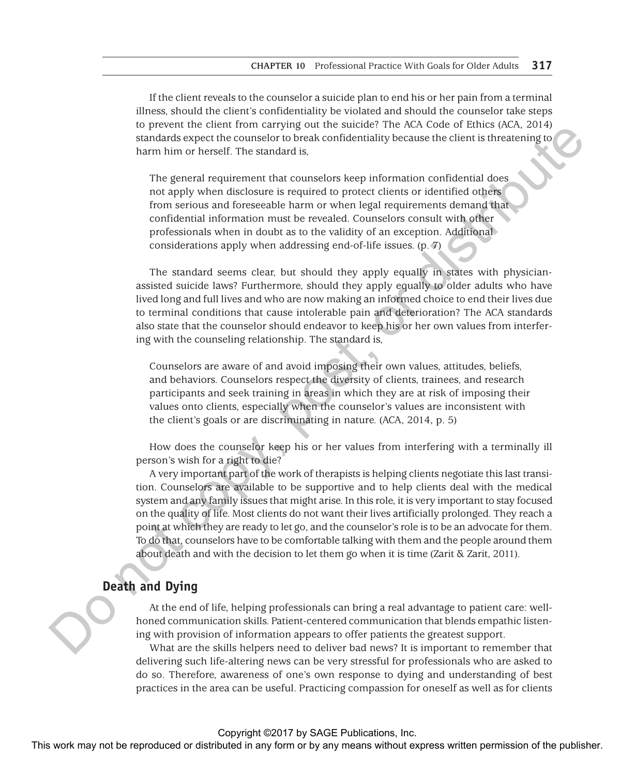If the client reveals to the counselor a suicide plan to end his or her pain from a terminal illness, should the client's confidentiality be violated and should the counselor take steps to prevent the client from carrying out the suicide? The ACA Code of Ethics (ACA, 2014) standards expect the counselor to break confidentiality because the client is threatening to harm him or herself. The standard is,

The general requirement that counselors keep information confidential does not apply when disclosure is required to protect clients or identified others from serious and foreseeable harm or when legal requirements demand that confidential information must be revealed. Counselors consult with other professionals when in doubt as to the validity of an exception. Additional considerations apply when addressing end-of-life issues. (p. 7)

The standard seems clear, but should they apply equally in states with physicianassisted suicide laws? Furthermore, should they apply equally to older adults who have lived long and full lives and who are now making an informed choice to end their lives due to terminal conditions that cause intolerable pain and deterioration? The ACA standards also state that the counselor should endeavor to keep his or her own values from interfering with the counseling relationship. The standard is,

Counselors are aware of and avoid imposing their own values, attitudes, beliefs, and behaviors. Counselors respect the diversity of clients, trainees, and research participants and seek training in areas in which they are at risk of imposing their values onto clients, especially when the counselor's values are inconsistent with the client's goals or are discriminating in nature. (ACA, 2014, p. 5)

How does the counselor keep his or her values from interfering with a terminally ill person's wish for a right to die?

A very important part of the work of therapists is helping clients negotiate this last transition. Counselors are available to be supportive and to help clients deal with the medical system and any family issues that might arise. In this role, it is very important to stay focused on the quality of life. Most clients do not want their lives artificially prolonged. They reach a point at which they are ready to let go, and the counselor's role is to be an advocate for them. To do that, counselors have to be comfortable talking with them and the people around them about death and with the decision to let them go when it is time (Zarit  $\&$  Zarit, 2011). is present in the train to the state and the state of the control of the state of the mattern and the state of the mattern in the state of the mattern in the analytic method. The general requirement that unumelops here in

## **Death and Dying**

At the end of life, helping professionals can bring a real advantage to patient care: wellhoned communication skills. Patient-centered communication that blends empathic listening with provision of information appears to offer patients the greatest support.

What are the skills helpers need to deliver bad news? It is important to remember that delivering such life-altering news can be very stressful for professionals who are asked to do so. Therefore, awareness of one's own response to dying and understanding of best practices in the area can be useful. Practicing compassion for oneself as well as for clients

Copyright ©2017 by SAGE Publications, Inc.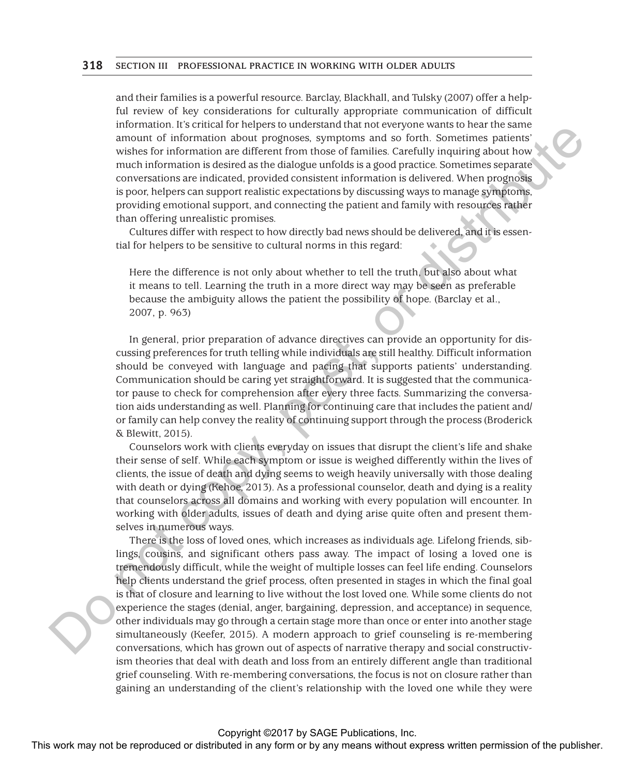#### **318 Section III Professional Practice in Working With Older Adults**

and their families is a powerful resource. Barclay, Blackhall, and Tulsky (2007) offer a helpful review of key considerations for culturally appropriate communication of difficult information. It's critical for helpers to understand that not everyone wants to hear the same amount of information about prognoses, symptoms and so forth. Sometimes patients' wishes for information are different from those of families. Carefully inquiring about how much information is desired as the dialogue unfolds is a good practice. Sometimes separate conversations are indicated, provided consistent information is delivered. When prognosis is poor, helpers can support realistic expectations by discussing ways to manage symptoms, providing emotional support, and connecting the patient and family with resources rather than offering unrealistic promises.

Cultures differ with respect to how directly bad news should be delivered, and it is essential for helpers to be sensitive to cultural norms in this regard:

Here the difference is not only about whether to tell the truth, but also about what it means to tell. Learning the truth in a more direct way may be seen as preferable because the ambiguity allows the patient the possibility of hope. (Barclay et al., 2007, p. 963)

In general, prior preparation of advance directives can provide an opportunity for discussing preferences for truth telling while individuals are still healthy. Difficult information should be conveyed with language and pacing that supports patients' understanding. Communication should be caring yet straightforward. It is suggested that the communicator pause to check for comprehension after every three facts. Summarizing the conversation aids understanding as well. Planning for continuing care that includes the patient and/ or family can help convey the reality of continuing support through the process (Broderick & Blewitt, 2015).

Counselors work with clients everyday on issues that disrupt the client's life and shake their sense of self. While each symptom or issue is weighed differently within the lives of clients, the issue of death and dying seems to weigh heavily universally with those dealing with death or dying (Kehoe, 2013). As a professional counselor, death and dying is a reality that counselors across all domains and working with every population will encounter. In working with older adults, issues of death and dying arise quite often and present themselves in numerous ways.

There is the loss of loved ones, which increases as individuals age. Lifelong friends, siblings, cousins, and significant others pass away. The impact of losing a loved one is tremendously difficult, while the weight of multiple losses can feel life ending. Counselors help clients understand the grief process, often presented in stages in which the final goal is that of closure and learning to live without the lost loved one. While some clients do not experience the stages (denial, anger, bargaining, depression, and acceptance) in sequence, other individuals may go through a certain stage more than once or enter into another stage simultaneously (Keefer, 2015). A modern approach to grief counseling is re-membering conversations, which has grown out of aspects of narrative therapy and social constructivism theories that deal with death and loss from an entirely different angle than traditional grief counseling. With re-membering conversations, the focus is not on closure rather than gaining an understanding of the client's relationship with the loved one while they were not<br>matrix as substitute the state of the state of the state of the state of<br>state for information as defined from these of families. Candidly in<br>outline a both state of the state of the state due to the state of the<br>stat

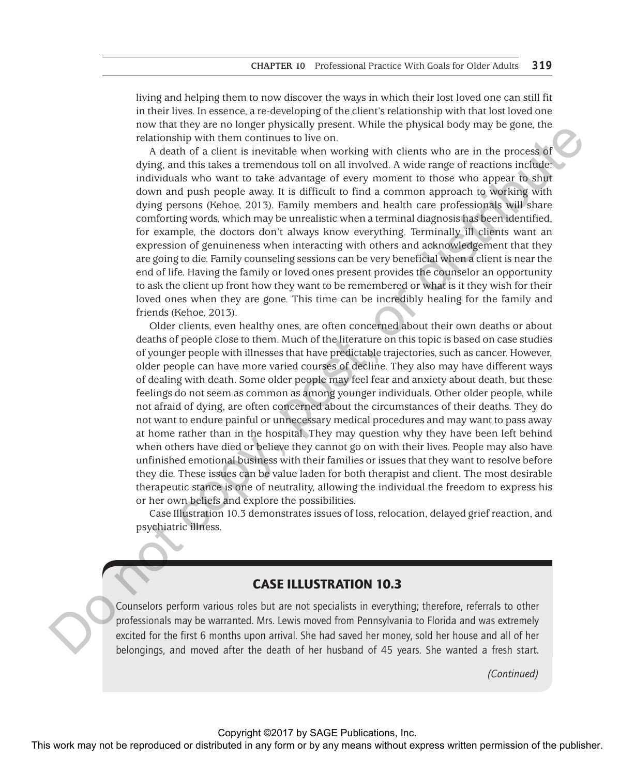living and helping them to now discover the ways in which their lost loved one can still fit in their lives. In essence, a re-developing of the client's relationship with that lost loved one now that they are no longer physically present. While the physical body may be gone, the relationship with them continues to live on.

A death of a client is inevitable when working with clients who are in the process of dying, and this takes a tremendous toll on all involved. A wide range of reactions include: individuals who want to take advantage of every moment to those who appear to shut down and push people away. It is difficult to find a common approach to working with dying persons (Kehoe, 2013). Family members and health care professionals will share comforting words, which may be unrealistic when a terminal diagnosis has been identified, for example, the doctors don't always know everything. Terminally ill clients want an expression of genuineness when interacting with others and acknowledgement that they are going to die. Family counseling sessions can be very beneficial when a client is near the end of life. Having the family or loved ones present provides the counselor an opportunity to ask the client up front how they want to be remembered or what is it they wish for their loved ones when they are gone. This time can be incredibly healing for the family and friends (Kehoe, 2013).

Older clients, even healthy ones, are often concerned about their own deaths or about deaths of people close to them. Much of the literature on this topic is based on case studies of younger people with illnesses that have predictable trajectories, such as cancer. However, older people can have more varied courses of decline. They also may have different ways of dealing with death. Some older people may feel fear and anxiety about death, but these feelings do not seem as common as among younger individuals. Other older people, while not afraid of dying, are often concerned about the circumstances of their deaths. They do not want to endure painful or unnecessary medical procedures and may want to pass away at home rather than in the hospital. They may question why they have been left behind when others have died or believe they cannot go on with their lives. People may also have unfinished emotional business with their families or issues that they want to resolve before they die. These issues can be value laden for both therapist and client. The most desirable therapeutic stance is one of neutrality, allowing the individual the freedom to express his or her own beliefs and explore the possibilities. now and their state is the consense procedure where the protocol the proposition of the consense of the procession of the consense of the consense of the consense of the consense of the determined of the consense of the pr

Case Illustration 10.3 demonstrates issues of loss, relocation, delayed grief reaction, and psychiatric illness.

# CASE ILLUSTRATION 10.3

Counselors perform various roles but are not specialists in everything; therefore, referrals to other professionals may be warranted. Mrs. Lewis moved from Pennsylvania to Florida and was extremely excited for the first 6 months upon arrival. She had saved her money, sold her house and all of her belongings, and moved after the death of her husband of 45 years. She wanted a fresh start.

*(Continued)*

Copyright ©2017 by SAGE Publications, Inc.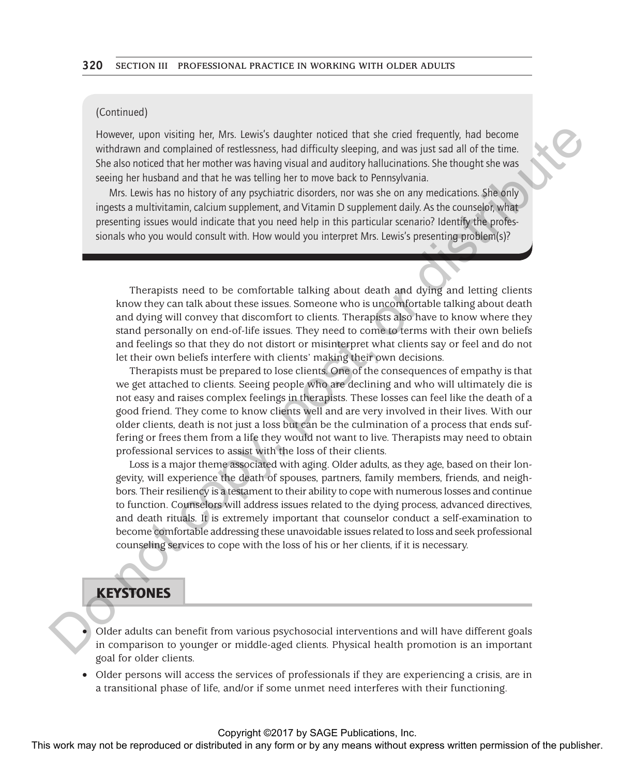#### (Continued)

However, upon visiting her, Mrs. Lewis's daughter noticed that she cried frequently, had become withdrawn and complained of restlessness, had difficulty sleeping, and was just sad all of the time. She also noticed that her mother was having visual and auditory hallucinations. She thought she was seeing her husband and that he was telling her to move back to Pennsylvania.

Mrs. Lewis has no history of any psychiatric disorders, nor was she on any medications. She only ingests a multivitamin, calcium supplement, and Vitamin D supplement daily. As the counselor, what presenting issues would indicate that you need help in this particular scenario? Identify the professionals who you would consult with. How would you interpret Mrs. Lewis's presenting problem(s)?

Therapists need to be comfortable talking about death and dying and letting clients know they can talk about these issues. Someone who is uncomfortable talking about death and dying will convey that discomfort to clients. Therapists also have to know where they stand personally on end-of-life issues. They need to come to terms with their own beliefs and feelings so that they do not distort or misinterpret what clients say or feel and do not let their own beliefs interfere with clients' making their own decisions.

Therapists must be prepared to lose clients. One of the consequences of empathy is that we get attached to clients. Seeing people who are declining and who will ultimately die is not easy and raises complex feelings in therapists. These losses can feel like the death of a good friend. They come to know clients well and are very involved in their lives. With our older clients, death is not just a loss but can be the culmination of a process that ends suffering or frees them from a life they would not want to live. Therapists may need to obtain professional services to assist with the loss of their clients. However, upon visiting between the small of the three cristic than the control of the street physical because the difficulty shaping, and was just set all of the time.<br>Since the distribute matches was have the difficulty s

Loss is a major theme associated with aging. Older adults, as they age, based on their longevity, will experience the death of spouses, partners, family members, friends, and neighbors. Their resiliency is a testament to their ability to cope with numerous losses and continue to function. Counselors will address issues related to the dying process, advanced directives, and death rituals. It is extremely important that counselor conduct a self-examination to become comfortable addressing these unavoidable issues related to loss and seek professional counseling services to cope with the loss of his or her clients, if it is necessary.

# KEYSTONES

- Older adults can benefit from various psychosocial interventions and will have different goals in comparison to younger or middle-aged clients. Physical health promotion is an important goal for older clients.
- Older persons will access the services of professionals if they are experiencing a crisis, are in a transitional phase of life, and/or if some unmet need interferes with their functioning.

#### Copyright ©2017 by SAGE Publications, Inc.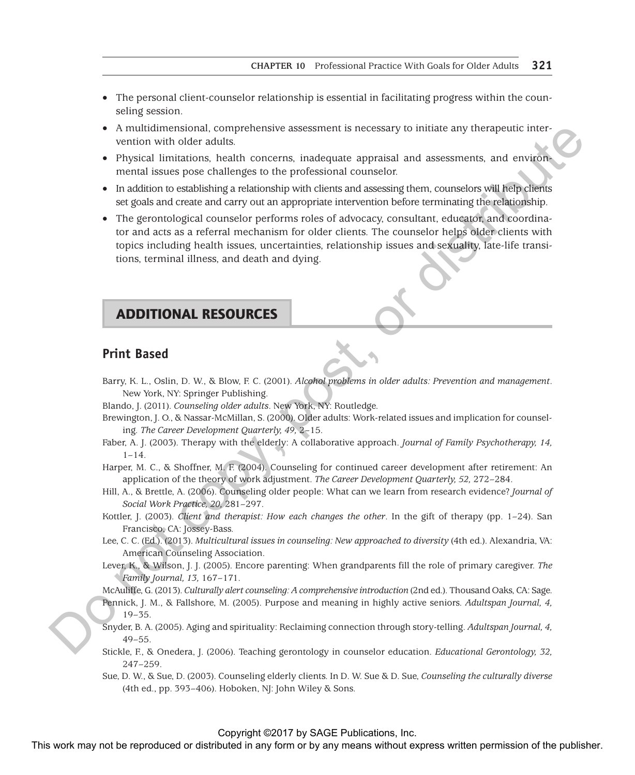- The personal client-counselor relationship is essential in facilitating progress within the counseling session.
- A multidimensional, comprehensive assessment is necessary to initiate any therapeutic intervention with older adults.
- Physical limitations, health concerns, inadequate appraisal and assessments, and environmental issues pose challenges to the professional counselor.
- In addition to establishing a relationship with clients and assessing them, counselors will help clients set goals and create and carry out an appropriate intervention before terminating the relationship.
- The gerontological counselor performs roles of advocacy, consultant, educator, and coordinator and acts as a referral mechanism for older clients. The counselor helps older clients with topics including health issues, uncertainties, relationship issues and sexuality, late-life transitions, terminal illness, and death and dying. A multidimensional comprehensive assessment is necessary to initiate any therapeutic inter-<br>
Physical limitations, health contents, including a representation of the medicine<br>
Physical limitations, health contents, includ

# ADDITIONAL RESOURCES

## **Print Based**

- Barry, K. L., Oslin, D. W., & Blow, F. C. (2001). *Alcohol problems in older adults: Prevention and management*. New York, NY: Springer Publishing.
- Blando, J. (2011). *Counseling older adults*. New York, NY: Routledge.
- Brewington, J. O., & Nassar-McMillan, S. (2000). Older adults: Work-related issues and implication for counseling*. The Career Development Quarterly, 49,* 2–15.
- Faber, A. J. (2003). Therapy with the elderly: A collaborative approach. *Journal of Family Psychotherapy, 14,*   $1 - 14$
- Harper, M. C., & Shoffner, M. F. (2004). Counseling for continued career development after retirement: An application of the theory of work adjustment. *The Career Development Quarterly, 52,* 272–284.
- Hill, A., & Brettle, A. (2006). Counseling older people: What can we learn from research evidence? *Journal of Social Work Practice, 20,* 281–297.
- Kottler, J. (2003). *Client and therapist: How each changes the other*. In the gift of therapy (pp. 1–24). San Francisco, CA: Jossey-Bass.
- Lee, C. C. (Ed.). (2013). *Multicultural issues in counseling: New approached to diversity* (4th ed.). Alexandria, VA: American Counseling Association.
- Lever, K., & Wilson, J. J. (2005). Encore parenting: When grandparents fill the role of primary caregiver. *The Family Journal, 13,* 167–171.

McAuliffe, G. (2013). *Culturally alert counseling: A comprehensive introduction* (2nd ed.). Thousand Oaks, CA: Sage.

- Pennick, J. M., & Fallshore, M. (2005). Purpose and meaning in highly active seniors. *Adultspan Journal, 4,* 19–35.
- Snyder, B. A. (2005). Aging and spirituality: Reclaiming connection through story-telling. *Adultspan Journal, 4,* 49–55.
- Stickle, F., & Onedera, J. (2006). Teaching gerontology in counselor education. *Educational Gerontology, 32,*  247–259.
- Sue, D. W., & Sue, D. (2003). Counseling elderly clients. In D. W. Sue & D. Sue, *Counseling the culturally diverse* (4th ed., pp. 393–406). Hoboken, NJ: John Wiley & Sons.

#### Copyright ©2017 by SAGE Publications, Inc.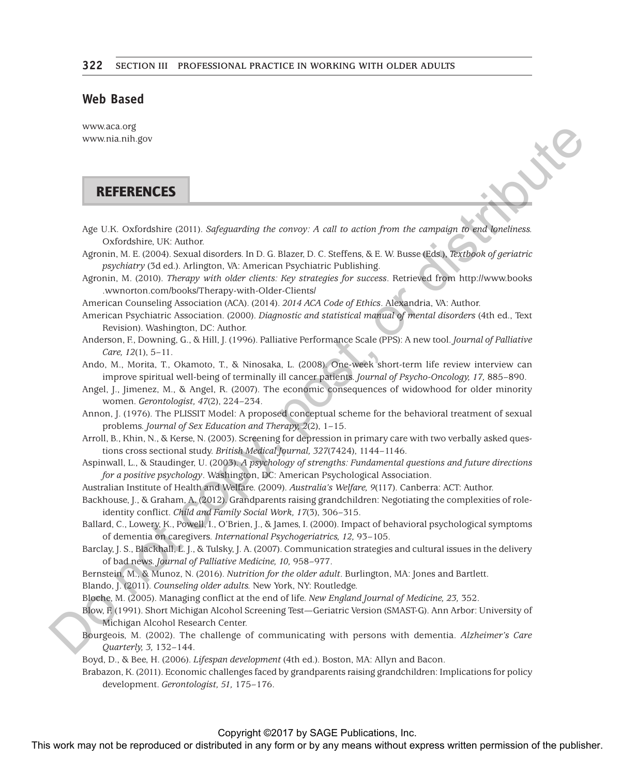## **Web Based**

www.aca.org www.nia.nih.gov

# **REFERENCES**

Age U.K. Oxfordshire (2011). *Safeguarding the convoy: A call to action from the campaign to end loneliness.*  Oxfordshire, UK: Author. **REFERENCES**<br>
New value and gove<br>
wavenut and gove<br>
New Value and Alt Equivalent (2011). Suffering the convery A cali to action from the campaign of examplement<br>
Agrees at a Le Copy Security of the distribution of the com

Agronin, M. E. (2004). Sexual disorders. In D. G. Blazer, D. C. Steffens, & E. W. Busse (Eds.), *Textbook of geriatric psychiatry* (3d ed.). Arlington, VA: American Psychiatric Publishing.

Agronin, M. (2010). *Therapy with older clients: Key strategies for success*. Retrieved from http://www.books .wwnorton.com/books/Therapy-with-Older-Clients/

American Counseling Association (ACA). (2014). *2014 ACA Code of Ethics*. Alexandria, VA: Author.

- American Psychiatric Association. (2000). *Diagnostic and statistical manual of mental disorders* (4th ed., Text Revision). Washington, DC: Author.
- Anderson, F., Downing, G., & Hill, J. (1996). Palliative Performance Scale (PPS): A new tool. *Journal of Palliative Care, 12*(1), 5–11.

Ando, M., Morita, T., Okamoto, T., & Ninosaka, L. (2008). One-week short-term life review interview can improve spiritual well-being of terminally ill cancer patients. *Journal of Psycho-Oncology, 17,* 885–890.

- Angel, J., Jimenez, M., & Angel, R. (2007). The economic consequences of widowhood for older minority women. *Gerontologist, 47*(2), 224–234.
- Annon, J. (1976). The PLISSIT Model: A proposed conceptual scheme for the behavioral treatment of sexual problems. *Journal of Sex Education and Therapy, 2*(2), 1–15.
- Arroll, B., Khin, N., & Kerse, N. (2003). Screening for depression in primary care with two verbally asked questions cross sectional study. *British Medical Journal, 327*(7424), 1144–1146.
- Aspinwall, L., & Staudinger, U. (2003). *A psychology of strengths: Fundamental questions and future directions for a positive psychology*. Washington, DC: American Psychological Association.

Australian Institute of Health and Welfare. (2009). *Australia's Welfare, 9*(117). Canberra: ACT: Author.

Backhouse, J., & Graham, A. (2012). Grandparents raising grandchildren: Negotiating the complexities of roleidentity conflict. *Child and Family Social Work, 17*(3), 306–315.

Ballard, C., Lowery, K., Powell, I., O'Brien, J., & James, I. (2000). Impact of behavioral psychological symptoms of dementia on caregivers*. International Psychogeriatrics, 12,* 93–105.

Barclay, J. S., Blackhall, L. J., & Tulsky, J. A. (2007). Communication strategies and cultural issues in the delivery of bad news. *Journal of Palliative Medicine, 10,* 958–977.

Bernstein, M., & Munoz, N. (2016). *Nutrition for the older adult*. Burlington, MA: Jones and Bartlett.

Blando, J. (2011). *Counseling older adults.* New York, NY: Routledge.

Bloche, M. (2005). Managing conflict at the end of life. *New England Journal of Medicine, 23,* 352.

- Blow, F. (1991). Short Michigan Alcohol Screening Test—Geriatric Version (SMAST-G). Ann Arbor: University of Michigan Alcohol Research Center.
- Bourgeois, M. (2002). The challenge of communicating with persons with dementia. *Alzheimer's Care Quarterly, 3,* 132–144.

Boyd, D., & Bee, H. (2006). *Lifespan development* (4th ed.). Boston, MA: Allyn and Bacon.

Brabazon, K. (2011). Economic challenges faced by grandparents raising grandchildren: Implications for policy development. *Gerontologist, 51,* 175–176.

#### Copyright ©2017 by SAGE Publications, Inc.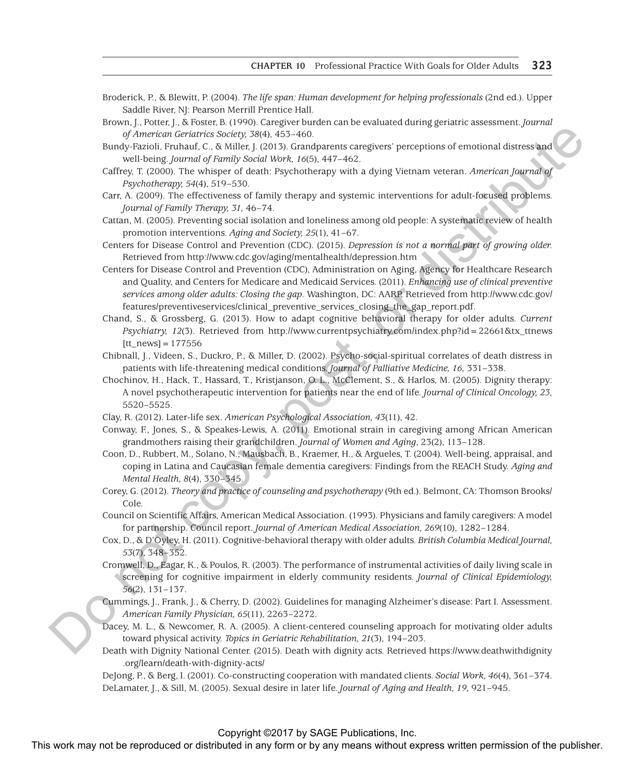- Broderick, P., & Blewitt, P. (2004). *The life span: Human development for helping professionals* (2nd ed.). Upper Saddle River, NJ: Pearson Merrill Prentice Hall.
- Brown, J., Potter, J., & Foster, B. (1990). Caregiver burden can be evaluated during geriatric assessment. *Journal of American Geriatrics Society, 38*(4), 453–460.
- Bundy-Fazioli, Fruhauf, C., & Miller, J. (2013). Grandparents caregivers' perceptions of emotional distress and well-being. *Journal of Family Social Work, 16*(5), 447–462.
- Caffrey, T. (2000). The whisper of death: Psychotherapy with a dying Vietnam veteran. *American Journal of Psychotherapy, 54*(4), 519–530.
- Carr, A. (2009). The effectiveness of family therapy and systemic interventions for adult-focused problems. *Journal of Family Therapy, 31,* 46–74.
- Cattan, M. (2005). Preventing social isolation and loneliness among old people: A systematic review of health promotion interventions. *Aging and Society, 25*(1), 41–67.
- Centers for Disease Control and Prevention (CDC). (2015). *Depression is not a normal part of growing older.* Retrieved from http://www.cdc.gov/aging/mentalhealth/depression.htm
- Centers for Disease Control and Prevention (CDC), Administration on Aging, Agency for Healthcare Research and Quality, and Centers for Medicare and Medicaid Services. (2011). *Enhancing use of clinical preventive services among older adults: Closing the gap*. Washington, DC: AARP. Retrieved from http://www.cdc.gov/ features/preventiveservices/clinical\_preventive\_services\_closing\_the\_gap\_report.pdf. of American constraints above the system of the system of the main of the system of the system of the system of the system of the system of the system of the system of the system of the system of the system of the system
	- Chand, S., & Grossberg, G. (2013). How to adapt cognitive behavioral therapy for older adults. *Current Psychiatry, 12*(3). Retrieved from http://www.currentpsychiatry.com/index.php?id=22661&tx\_ttnews  $[tt\_news] = 177556$
	- Chibnall, J., Videen, S., Duckro, P., & Miller, D. (2002). Psycho-social-spiritual correlates of death distress in patients with life-threatening medical conditions. *Journal of Palliative Medicine, 16,* 331–338.
	- Chochinov, H., Hack, T., Hassard, T., Kristjanson, O. L., McClement, S., & Harlos, M. (2005). Dignity therapy: A novel psychotherapeutic intervention for patients near the end of life. *Journal of Clinical Oncology, 23,*  5520–5525.
	- Clay, R. (2012). Later-life sex. *American Psychological Association, 43*(11), 42.
	- Conway, F., Jones, S., & Speakes-Lewis, A. (2011). Emotional strain in caregiving among African American grandmothers raising their grandchildren. *Journal of Women and Aging*, 23(2), 113–128.
	- Coon, D., Rubbert, M., Solano, N., Mausbach, B., Kraemer, H., & Argueles, T. (2004). Well-being, appraisal, and coping in Latina and Caucasian female dementia caregivers: Findings from the REACH Study. *Aging and Mental Health, 8*(4), 330–345.
	- Corey, G. (2012). *Theory and practice of counseling and psychotherapy* (9th ed.). Belmont, CA: Thomson Brooks/ Cole.
	- Council on Scientific Affairs, American Medical Association. (1993). Physicians and family caregivers: A model for partnership. Council report. *Journal of American Medical Association, 269*(10), 1282–1284.
	- Cox, D., & D'Oyley, H. (2011). Cognitive-behavioral therapy with older adults. *British Columbia Medical Journal, 53*(7), 348–352.
	- Cromwell, D., Eagar, K., & Poulos, R. (2003). The performance of instrumental activities of daily living scale in screening for cognitive impairment in elderly community residents. *Journal of Clinical Epidemiology, 56*(2), 131–137.
	- Cummings, J., Frank, J., & Cherry, D. (2002). Guidelines for managing Alzheimer's disease: Part I. Assessment. *American Family Physician, 65*(11), 2263–2272.
	- Dacey, M. L., & Newcomer, R. A. (2005). A client-centered counseling approach for motivating older adults toward physical activity. *Topics in Geriatric Rehabilitation, 21*(3), 194–203.
	- Death with Dignity National Center. (2015). Death with dignity acts. Retrieved https://www.deathwithdignity .org/learn/death-with-dignity-acts/

DeJong, P., & Berg, I. (2001). Co-constructing cooperation with mandated clients. *Social Work, 46*(4), 361–374. DeLamater, J., & Sill, M. (2005). Sexual desire in later life. *Journal of Aging and Health, 19,* 921–945.

#### Copyright ©2017 by SAGE Publications, Inc.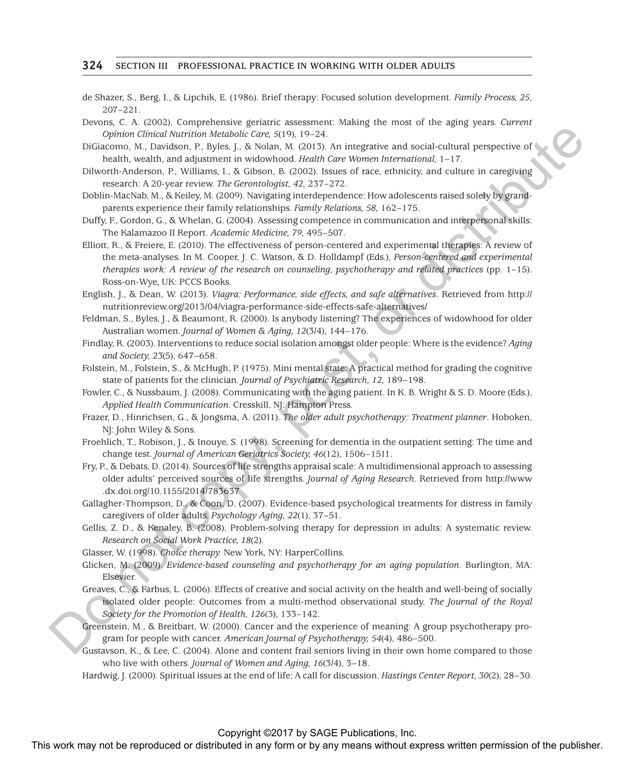#### **324 Section III Professional Practice in Working With Older Adults**

de Shazer, S., Berg, I., & Lipchik, E. (1986). Brief therapy: Focused solution development. *Family Process, 25,* 207–221.

Devons, C. A. (2002). Comprehensive geriatric assessment: Making the most of the aging years. *Current Opinion Clinical Nutrition Metabolic Care, 5*(19), 19–24.

DiGiacomo, M., Davidson, P., Byles, J., & Nolan, M. (2013). An integrative and social-cultural perspective of health, wealth, and adjustment in widowhood. *Health Care Women International,* 1–17.

Dilworth-Anderson, P., Williams, I., & Gibson, B. (2002). Issues of race, ethnicity, and culture in caregiving research: A 20-year review. *The Gerontologist, 42,* 237–272.

Doblin-MacNab, M., & Keiley, M. (2009). Navigating interdependence: How adolescents raised solely by grandparents experience their family relationships. *Family Relations, 58,* 162–175.

Duffy, F., Gordon, G., & Whelan, G. (2004). Assessing competence in communication and interpersonal skills: The Kalamazoo II Report. *Academic Medicine, 79,* 495–507.

Elliott, R., & Freiere, E. (2010). The effectiveness of person-centered and experimental therapies: A review of the meta-analyses. In M. Cooper, J. C. Watson, & D. Holldampf (Eds.), *Person-centered and experimental therapies work: A review of the research on counseling, psychotherapy and related practices* (pp. 1–15). Ross-on-Wye, UK: PCCS Books. Option (36 the Northern Matologic Care 3(19), 10-34 the signature and social calibrary respective of the nearly the Silbian Matological Energy (20) An integrational calibrary proportional cases of the nearly and all sampl

English, J., & Dean, W. (2013). *Viagra: Performance, side effects, and safe alternatives*. Retrieved from http:// nutritionreview.org/2013/04/viagra-performance-side-effects-safe-alternatives/

Feldman, S., Byles, J., & Beaumont, R. (2000). Is anybody listening? The experiences of widowhood for older Australian women. *Journal of Women & Aging, 12*(3/4), 144–176.

Findlay, R. (2003). Interventions to reduce social isolation amongst older people: Where is the evidence? *Aging and Society, 23*(5), 647–658.

Folstein, M., Folstein, S., & McHugh, P. (1975). Mini mental state: A practical method for grading the cognitive state of patients for the clinician. *Journal of Psychiatric Research, 12,* 189–198.

Fowler, C., & Nussbaum, J. (2008). Communicating with the aging patient. In K. B. Wright & S. D. Moore (Eds.), *Applied Health Communication*. Cresskill, NJ: Hampton Press.

Frazer, D., Hinrichsen, G., & Jongsma, A. (2011). *The older adult psychotherapy: Treatment planner*. Hoboken, NJ: John Wiley & Sons.

Froehlich, T., Robison, J., & Inouye, S. (1998). Screening for dementia in the outpatient setting: The time and change test. *Journal of American Geriatrics Society, 46*(12), 1506–1511.

Fry, P., & Debats, D. (2014). Sources of life strengths appraisal scale: A multidimensional approach to assessing older adults' perceived sources of life strengths. *Journal of Aging Research*. Retrieved from http://www .dx.doi.org/10.1155/2014/783637

Gallagher-Thompson, D., & Coon, D. (2007). Evidence-based psychological treatments for distress in family caregivers of older adults. *Psychology Aging, 22*(1), 37–51.

Gellis, Z. D., & Kenaley, B. (2008). Problem-solving therapy for depression in adults: A systematic review. *Research on Social Work Practice, 18*(2).

Glasser, W. (1998). *Choice therapy.* New York, NY: HarperCollins.

Glicken, M. (2009). *Evidence-based counseling and psychotherapy for an aging population*. Burlington, MA: Elsevier.

Greaves, C., & Farbus, L. (2006). Effects of creative and social activity on the health and well-being of socially isolated older people: Outcomes from a multi-method observational study. *The Journal of the Royal Society for the Promotion of Health, 126*(3), 133–142.

Greenstein, M., & Breitbart, W. (2000). Cancer and the experience of meaning: A group psychotherapy program for people with cancer. *American Journal of Psychotherapy, 54*(4), 486–500.

Gustavson, K., & Lee, C. (2004). Alone and content frail seniors living in their own home compared to those who live with others. *Journal of Women and Aging, 16*(3/4), 3–18.

Hardwig, J. (2000). Spiritual issues at the end of life: A call for discussion. *Hastings Center Report, 30*(2), 28–30.

#### Copyright ©2017 by SAGE Publications, Inc.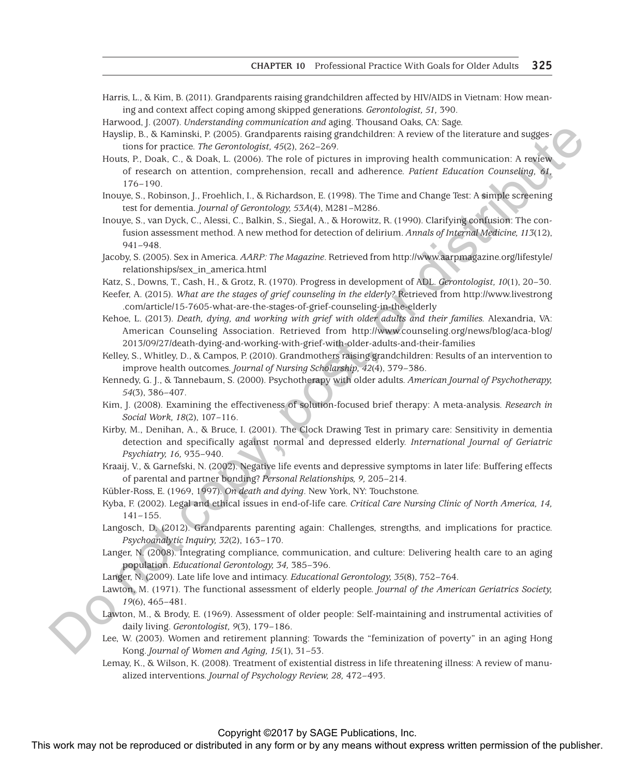Harris, L., & Kim, B. (2011). Grandparents raising grandchildren affected by HIV/AIDS in Vietnam: How meaning and context affect coping among skipped generations. *Gerontologist, 51,* 390.

Harwood, J. (2007). *Understanding communication and* aging. Thousand Oaks, CA: Sage.

- Hayslip, B., & Kaminski, P. (2005). Grandparents raising grandchildren: A review of the literature and suggestions for practice. *The Gerontologist, 45*(2), 262–269.
- Houts, P., Doak, C., & Doak, L. (2006). The role of pictures in improving health communication: A review of research on attention, comprehension, recall and adherence. *Patient Education Counseling, 61,* 176–190.
- Inouye, S., Robinson, J., Froehlich, I., & Richardson, E. (1998). The Time and Change Test: A simple screening test for dementia. *Journal of Gerontology, 53A*(4), M281–M286.
- Inouye, S., van Dyck, C., Alessi, C., Balkin, S., Siegal, A., & Horowitz, R. (1990). Clarifying confusion: The confusion assessment method. A new method for detection of delirium. *Annals of Internal Medicine, 113*(12), 941–948.
- Jacoby, S. (2005). Sex in America. *AARP: The Magazine*. Retrieved from http://www.aarpmagazine.org/lifestyle/ relationships/sex\_in\_america.html
- Katz, S., Downs, T., Cash, H., & Grotz, R. (1970). Progress in development of ADL. *Gerontologist, 10*(1), 20–30.
- Keefer, A. (2015). *What are the stages of grief counseling in the elderly?* Retrieved from http://www.livestrong .com/article/15-7605-what-are-the-stages-of-grief-counseling-in-the-elderly
- Kehoe, L. (2013). *Death, dying, and working with grief with older adults and their families.* Alexandria, VA: American Counseling Association. Retrieved from http://www.counseling.org/news/blog/aca-blog/ 2013/09/27/death-dying-and-working-with-grief-with-older-adults-and-their-families
- Kelley, S., Whitley, D., & Campos, P. (2010). Grandmothers raising grandchildren: Results of an intervention to improve health outcomes. *Journal of Nursing Scholarship, 42*(4), 379–386.
- Kennedy, G. J., & Tannebaum, S. (2000). Psychotherapy with older adults. *American Journal of Psychotherapy, 54*(3), 386–407.
- Kim, J. (2008). Examining the effectiveness of solution-focused brief therapy: A meta-analysis. *Research in Social Work, 18*(2), 107–116.
- Kirby, M., Denihan, A., & Bruce, I. (2001). The Clock Drawing Test in primary care: Sensitivity in dementia detection and specifically against normal and depressed elderly. *International Journal of Geriatric Psychiatry, 16,* 935–940. isspan in & Komitski P (2005) Completes the interaction is a majorithm of the literature and suggest<br>
Do not compute the communication of the communication at a majorithm<br>
Do not communication at explicit the interaction
	- Kraaij, V., & Garnefski, N. (2002). Negative life events and depressive symptoms in later life: Buffering effects of parental and partner bonding? *Personal Relationships, 9,* 205–214.
	- Kübler-Ross, E. (1969, 1997). *On death and dying*. New York, NY: Touchstone.
	- Kyba, F. (2002). Legal and ethical issues in end-of-life care. *Critical Care Nursing Clinic of North America, 14,* 141–155.
	- Langosch, D. (2012). Grandparents parenting again: Challenges, strengths, and implications for practice. *Psychoanalytic Inquiry, 32*(2), 163–170.
	- Langer, N. (2008). Integrating compliance, communication, and culture: Delivering health care to an aging population. *Educational Gerontology, 34,* 385–396.
	- Langer, N. (2009). Late life love and intimacy. *Educational Gerontology, 35*(8), 752–764.
	- Lawton, M. (1971). The functional assessment of elderly people. *Journal of the American Geriatrics Society, 19*(6), 465–481.
	- Lawton, M., & Brody, E. (1969). Assessment of older people: Self-maintaining and instrumental activities of daily living. *Gerontologist, 9*(3), 179–186.
	- Lee, W. (2003). Women and retirement planning: Towards the "feminization of poverty" in an aging Hong Kong. *Journal of Women and Aging, 15*(1), 31–53.
	- Lemay, K., & Wilson, K. (2008). Treatment of existential distress in life threatening illness: A review of manualized interventions. *Journal of Psychology Review, 28,* 472–493.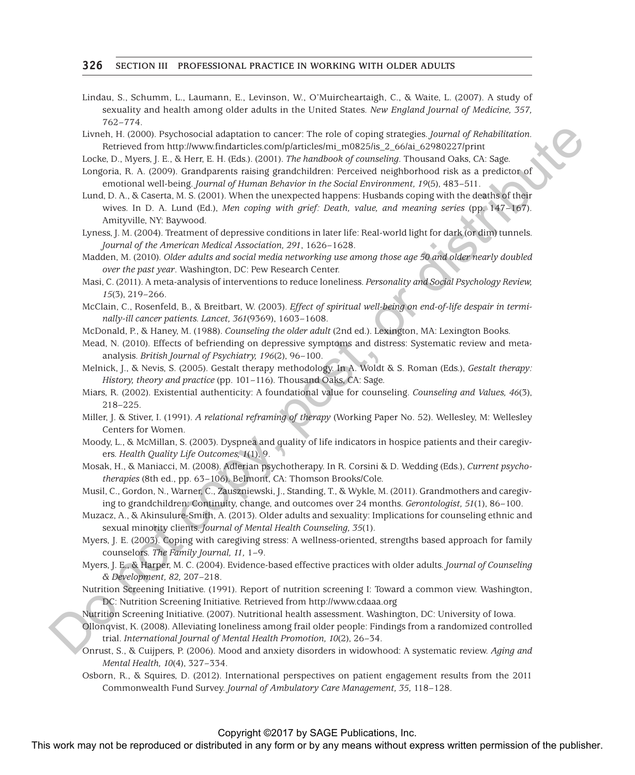#### **326 Section III Professional Practice in Working With Older Adults**

- Lindau, S., Schumm, L., Laumann, E., Levinson, W., O'Muircheartaigh, C., & Waite, L. (2007). A study of sexuality and health among older adults in the United States. *New England Journal of Medicine, 357,* 762–774.
- Livneh, H. (2000). Psychosocial adaptation to cancer: The role of coping strategies. *Journal of Rehabilitation.* Retrieved from http://www.findarticles.com/p/articles/mi\_m0825/is\_2\_66/ai\_62980227/print

Locke, D., Myers, J. E., & Herr, E. H. (Eds.). (2001). *The handbook of counseling*. Thousand Oaks, CA: Sage.

- Longoria, R. A. (2009). Grandparents raising grandchildren: Perceived neighborhood risk as a predictor of emotional well-being. *Journal of Human Behavior in the Social Environment, 19*(5), 483–511.
- Lund, D. A., & Caserta, M. S. (2001). When the unexpected happens: Husbands coping with the deaths of their wives. In D. A. Lund (Ed.), *Men coping with grief: Death, value, and meaning series* (pp. 147–167). Amityville, NY: Baywood. 13.000. Psychonorid adaptation to concert the red of computer generality of Nobelistical and the concert of the state of the concert of the concert of the concert of the concert of the concert of the concert of the concer
	- Lyness, J. M. (2004). Treatment of depressive conditions in later life: Real-world light for dark (or dim) tunnels. *Journal of the American Medical Association, 291*, 1626–1628.

Madden, M. (2010)*. Older adults and social media networking use among those age 50 and older nearly doubled over the past year*. Washington, DC: Pew Research Center.

Masi, C. (2011). A meta-analysis of interventions to reduce loneliness. *Personality and Social Psychology Review, 15*(3), 219–266.

McClain, C., Rosenfeld, B., & Breitbart, W. (2003). *Effect of spiritual well-being on end-of-life despair in terminally-ill cancer patients. Lancet, 361*(9369), 1603–1608.

McDonald, P., & Haney, M. (1988). *Counseling the older adult* (2nd ed.). Lexington, MA: Lexington Books.

Mead, N. (2010). Effects of befriending on depressive symptoms and distress: Systematic review and metaanalysis. *British Journal of Psychiatry, 196*(2), 96–100.

Melnick, J., & Nevis, S. (2005). Gestalt therapy methodology. In A. Woldt & S. Roman (Eds.), *Gestalt therapy: History, theory and practice* (pp. 101–116). Thousand Oaks, CA: Sage.

- Miars, R. (2002). Existential authenticity: A foundational value for counseling. *Counseling and Values, 46*(3), 218–225.
- Miller, J. & Stiver, I. (1991). *A relational reframing of therapy* (Working Paper No. 52). Wellesley, M: Wellesley Centers for Women.
- Moody, L., & McMillan, S. (2003). Dyspnea and quality of life indicators in hospice patients and their caregivers. *Health Quality Life Outcomes, 1*(1), 9.
- Mosak, H., & Maniacci, M. (2008). Adlerian psychotherapy. In R. Corsini & D. Wedding (Eds.), *Current psychotherapies* (8th ed., pp. 63–106). Belmont, CA: Thomson Brooks/Cole.

Musil, C., Gordon, N., Warner, C., Zauszniewski, J., Standing, T., & Wykle, M. (2011). Grandmothers and caregiving to grandchildren: Continuity, change, and outcomes over 24 months. *Gerontologist, 51*(1), 86–100.

- Muzacz, A., & Akinsulure-Smith, A. (2013). Older adults and sexuality: Implications for counseling ethnic and sexual minority clients. *Journal of Mental Health Counseling, 35*(1).
- Myers, J. E. (2003). Coping with caregiving stress: A wellness-oriented, strengths based approach for family counselors. *The Family Journal, 11,* 1–9.
- Myers, J. E., & Harper, M. C. (2004). Evidence-based effective practices with older adults. *Journal of Counseling & Development, 82,* 207–218.
- Nutrition Screening Initiative. (1991). Report of nutrition screening I: Toward a common view. Washington, DC: Nutrition Screening Initiative. Retrieved from http://www.cdaaa.org

Nutrition Screening Initiative. (2007). Nutritional health assessment. Washington, DC: University of Iowa.

- Ollonqvist, K. (2008). Alleviating loneliness among frail older people: Findings from a randomized controlled trial. *International Journal of Mental Health Promotion, 10*(2), 26–34.
- Onrust, S., & Cuijpers, P. (2006). Mood and anxiety disorders in widowhood: A systematic review. *Aging and Mental Health, 10*(4), 327–334.

Osborn, R., & Squires, D. (2012). International perspectives on patient engagement results from the 2011 Commonwealth Fund Survey. *Journal of Ambulatory Care Management, 35,* 118–128.

#### Copyright ©2017 by SAGE Publications, Inc.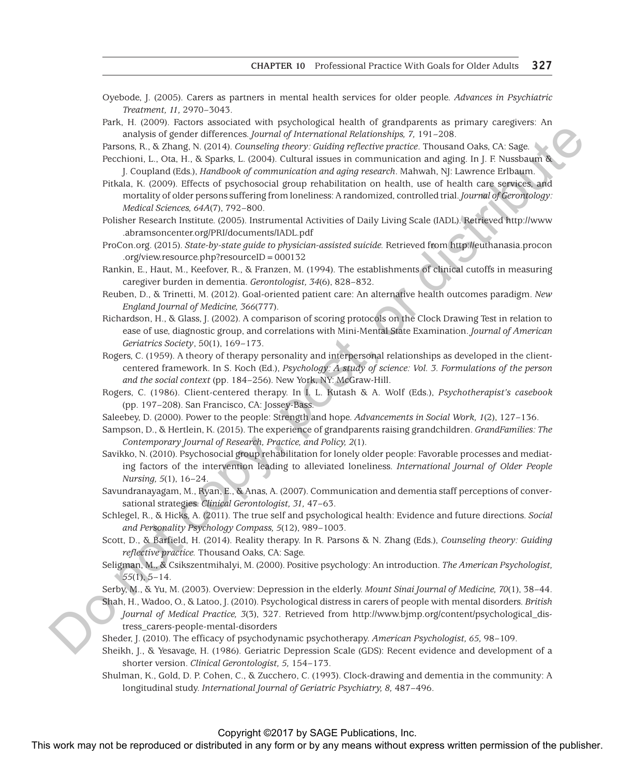- Oyebode, J. (2005). Carers as partners in mental health services for older people. *Advances in Psychiatric Treatment, 11,* 2970–3043.
- Park, H. (2009). Factors associated with psychological health of grandparents as primary caregivers: An analysis of gender differences. *Journal of International Relationships, 7,* 191–208.

Parsons, R., & Zhang, N. (2014). *Counseling theory: Guiding reflective practice*. Thousand Oaks, CA: Sage.

Pecchioni, L., Ota, H., & Sparks, L. (2004). Cultural issues in communication and aging. In J. F. Nussbaum & J. Coupland (Eds.), *Handbook of communication and aging research*. Mahwah, NJ: Lawrence Erlbaum.

- Pitkala, K. (2009). Effects of psychosocial group rehabilitation on health, use of health care services, and mortality of older persons suffering from loneliness: A randomized, controlled trial. *Journal of Gerontology: Medical Sciences, 64A*(7), 792–800. analysis of gentics of European informed Statistically,  $y$ ). Units (and the content of the content of the content of the content of the content of the content of the content of the content of the content of the content o
	- Polisher Research Institute. (2005). Instrumental Activities of Daily Living Scale (IADL). Retrieved http://www .abramsoncenter.org/PRI/documents/IADL.pdf
	- ProCon.org. (2015). *State-by-state guide to physician-assisted suicide.* Retrieved from http://euthanasia.procon .org/view.resource.php?resourceID=000132
	- Rankin, E., Haut, M., Keefover, R., & Franzen, M. (1994). The establishments of clinical cutoffs in measuring caregiver burden in dementia. *Gerontologist, 34*(6), 828–832.
	- Reuben, D., & Trinetti, M. (2012). Goal-oriented patient care: An alternative health outcomes paradigm. *New England Journal of Medicine, 366*(777).
	- Richardson, H., & Glass, J. (2002). A comparison of scoring protocols on the Clock Drawing Test in relation to ease of use, diagnostic group, and correlations with Mini-Mental State Examination. *Journal of American Geriatrics Society*, 50(1), 169–173.
	- Rogers, C. (1959). A theory of therapy personality and interpersonal relationships as developed in the clientcentered framework. In S. Koch (Ed.), *Psychology: A study of science: Vol. 3. Formulations of the person and the social context* (pp. 184–256). New York, NY: McGraw-Hill.
	- Rogers, C. (1986). Client-centered therapy. In I. L. Kutash & A. Wolf (Eds.), *Psychotherapist's casebook* (pp. 197–208). San Francisco, CA: Jossey-Bass.
	- Saleebey, D. (2000). Power to the people: Strength and hope. *Advancements in Social Work, 1*(2), 127–136.
	- Sampson, D., & Hertlein, K. (2015). The experience of grandparents raising grandchildren. *GrandFamilies: The Contemporary Journal of Research, Practice, and Policy, 2*(1).
	- Savikko, N. (2010). Psychosocial group rehabilitation for lonely older people: Favorable processes and mediating factors of the intervention leading to alleviated loneliness. *International Journal of Older People Nursing, 5*(1), 16–24.
	- Savundranayagam, M., Ryan, E., & Anas, A. (2007). Communication and dementia staff perceptions of conversational strategies. *Clinical Gerontologist, 31,* 47–63.
	- Schlegel, R., & Hicks, A. (2011). The true self and psychological health: Evidence and future directions. *Social and Personality Psychology Compass, 5*(12), 989–1003.
	- Scott, D., & Barfield, H. (2014). Reality therapy. In R. Parsons & N. Zhang (Eds.), *Counseling theory: Guiding reflective practice.* Thousand Oaks, CA: Sage.
	- Seligman, M., & Csikszentmihalyi, M. (2000). Positive psychology: An introduction. *The American Psychologist, 55*(1), 5–14.
	- Serby, M., & Yu, M. (2003). Overview: Depression in the elderly. *Mount Sinai Journal of Medicine, 70*(1), 38–44.
	- Shah, H., Wadoo, O., & Latoo, J. (2010). Psychological distress in carers of people with mental disorders. *British Journal of Medical Practice, 3*(3), 327. Retrieved from http://www.bjmp.org/content/psychological\_distress\_carers-people-mental-disorders
	- Sheder, J. (2010). The efficacy of psychodynamic psychotherapy. *American Psychologist, 65,* 98–109.
	- Sheikh, J., & Yesavage, H. (1986). Geriatric Depression Scale (GDS): Recent evidence and development of a shorter version. *Clinical Gerontologist, 5,* 154–173.
	- Shulman, K., Gold, D. P. Cohen, C., & Zucchero, C. (1993). Clock-drawing and dementia in the community: A longitudinal study. *International Journal of Geriatric Psychiatry, 8,* 487–496.

#### Copyright ©2017 by SAGE Publications, Inc.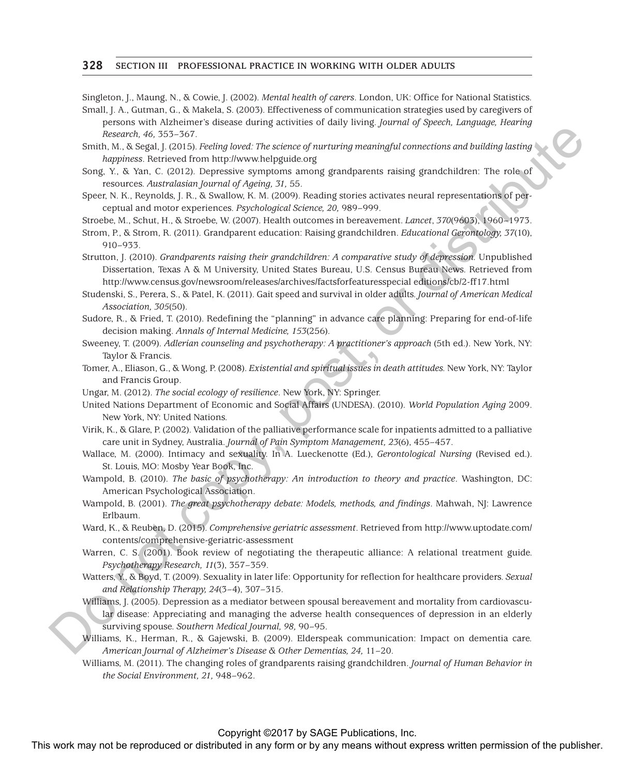#### **328 Section III Professional Practice in Working With Older Adults**

Singleton, J., Maung, N., & Cowie, J. (2002). *Mental health of carers*. London, UK: Office for National Statistics.

Small, J. A., Gutman, G., & Makela, S. (2003). Effectiveness of communication strategies used by caregivers of persons with Alzheimer's disease during activities of daily living. *Journal of Speech, Language, Hearing Research, 46,* 353–367.

Smith, M., & Segal, J. (2015). *Feeling loved: The science of nurturing meaningful connections and building lasting happiness*. Retrieved from http://www.helpguide.org

- Song, Y., & Yan, C. (2012). Depressive symptoms among grandparents raising grandchildren: The role of resources. *Australasian Journal of Ageing, 31,* 55.
- Speer, N. K., Reynolds, J. R., & Swallow, K. M. (2009). Reading stories activates neural representations of perceptual and motor experiences. *Psychological Science, 20,* 989–999.

Stroebe, M., Schut, H., & Stroebe, W. (2007). Health outcomes in bereavement. *Lancet*, *370*(9603), 1960–1973.

Strom, P., & Strom, R. (2011). Grandparent education: Raising grandchildren. *Educational Gerontology, 37*(10), 910–933.

Strutton, J. (2010). *Grandparents raising their grandchildren: A comparative study of depression.* Unpublished Dissertation, Texas A & M University, United States Bureau, U.S. Census Bureau News. Retrieved from http://www.census.gov/newsroom/releases/archives/factsforfeaturesspecial editions/cb/2-ff17.html Research As, System Statistics of the state of numering meaningful eurocetizes entitled the state of the state of the state of the state of the state of the state of the state of the state of the state of the state of the

Studenski, S., Perera, S., & Patel, K. (2011). Gait speed and survival in older adults. *Journal of American Medical Association, 305*(50).

Sudore, R., & Fried, T. (2010). Redefining the "planning" in advance care planning: Preparing for end-of-life decision making. *Annals of Internal Medicine, 153*(256).

- Sweeney, T. (2009). *Adlerian counseling and psychotherapy: A practitioner's approach* (5th ed.). New York, NY: Taylor & Francis.
- Tomer, A., Eliason, G., & Wong, P. (2008). *Existential and spiritual issues in death attitudes.* New York, NY: Taylor and Francis Group.

Ungar, M. (2012). *The social ecology of resilience*. New York, NY: Springer.

United Nations Department of Economic and Social Affairs (UNDESA). (2010). *World Population Aging* 2009. New York, NY: United Nations.

- Virik, K., & Glare, P. (2002). Validation of the palliative performance scale for inpatients admitted to a palliative care unit in Sydney, Australia. *Journal of Pain Symptom Management, 23*(6), 455–457.
- Wallace, M. (2000). Intimacy and sexuality. In A. Lueckenotte (Ed.), *Gerontological Nursing* (Revised ed.). St. Louis, MO: Mosby Year Book, Inc.
- Wampold, B. (2010). *The basic of psychotherapy: An introduction to theory and practice*. Washington, DC: American Psychological Association.
- Wampold, B. (2001). *The great psychotherapy debate: Models, methods, and findings*. Mahwah, NJ: Lawrence Erlbaum.
- Ward, K., & Reuben, D. (2015). *Comprehensive geriatric assessment*. Retrieved from http://www.uptodate.com/ contents/comprehensive-geriatric-assessment
- Warren, C. S. (2001). Book review of negotiating the therapeutic alliance: A relational treatment guide. *Psychotherapy Research, 11*(3), 357–359.
- Watters, Y., & Boyd, T. (2009). Sexuality in later life: Opportunity for reflection for healthcare providers. *Sexual and Relationship Therapy, 24*(3–4), 307–315.
- Williams, J. (2005). Depression as a mediator between spousal bereavement and mortality from cardiovascular disease: Appreciating and managing the adverse health consequences of depression in an elderly surviving spouse. *Southern Medical Journal, 98,* 90–95.
- Williams, K., Herman, R., & Gajewski, B. (2009). Elderspeak communication: Impact on dementia care. *American Journal of Alzheimer's Disease & Other Dementias, 24,* 11–20.
- Williams, M. (2011). The changing roles of grandparents raising grandchildren. *Journal of Human Behavior in the Social Environment, 21,* 948–962.

Copyright ©2017 by SAGE Publications, Inc.